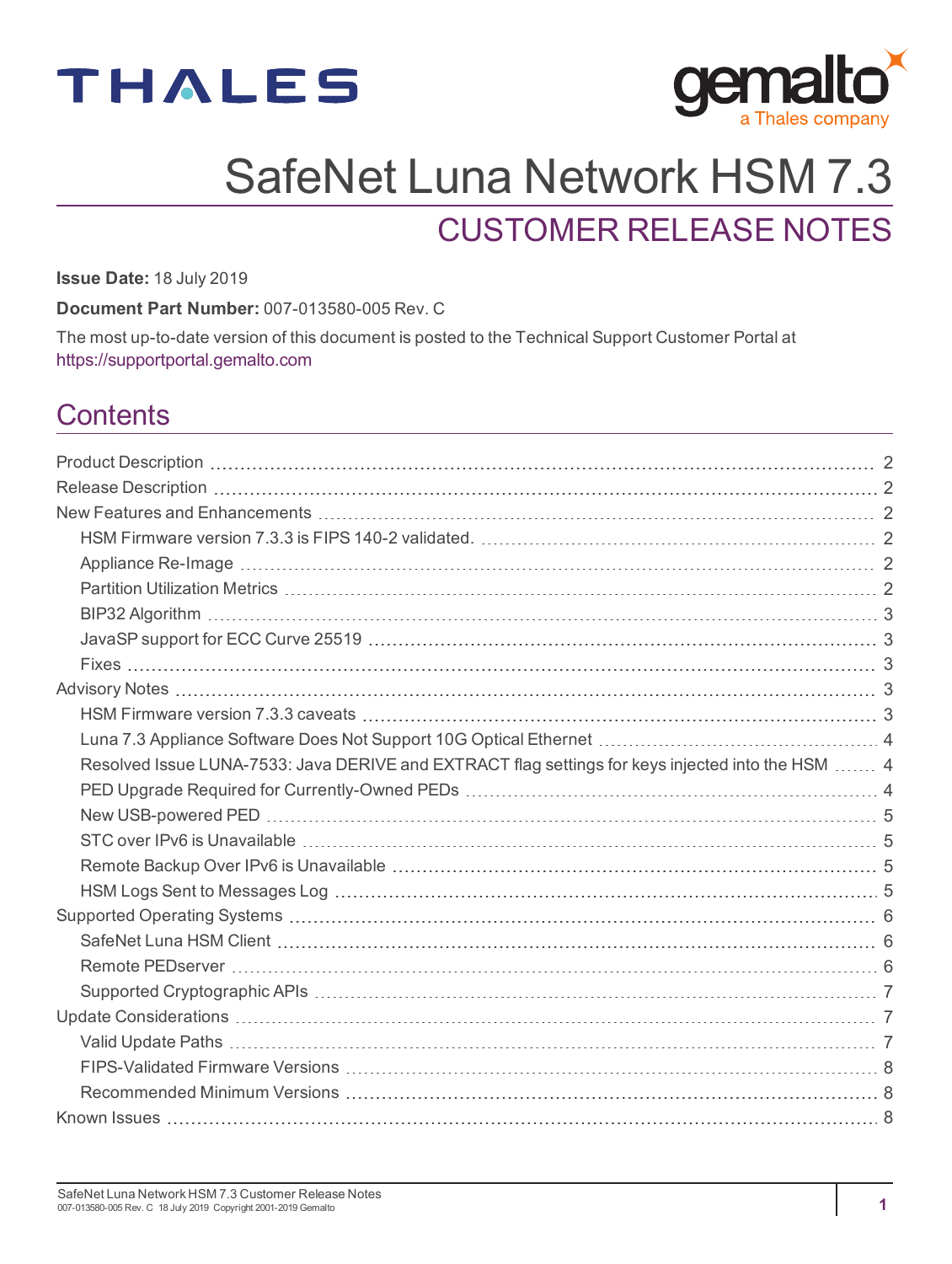



# SafeNet Luna Network HSM 7.3

# CUSTOMER RELEASE NOTES

**Issue Date:** 18 July 2019

**Document Part Number:** 007-013580-005 Rev. C

The most up-to-date version of this document is posted to the Technical Support Customer Portal at [https://supportportal.gemalto.com](https://supportportal.gemalto.com/)

## **Contents**

| Resolved Issue LUNA-7533: Java DERIVE and EXTRACT flag settings for keys injected into the HSM  4 |  |
|---------------------------------------------------------------------------------------------------|--|
|                                                                                                   |  |
|                                                                                                   |  |
|                                                                                                   |  |
|                                                                                                   |  |
|                                                                                                   |  |
|                                                                                                   |  |
|                                                                                                   |  |
|                                                                                                   |  |
|                                                                                                   |  |
|                                                                                                   |  |
|                                                                                                   |  |
|                                                                                                   |  |
|                                                                                                   |  |
|                                                                                                   |  |
|                                                                                                   |  |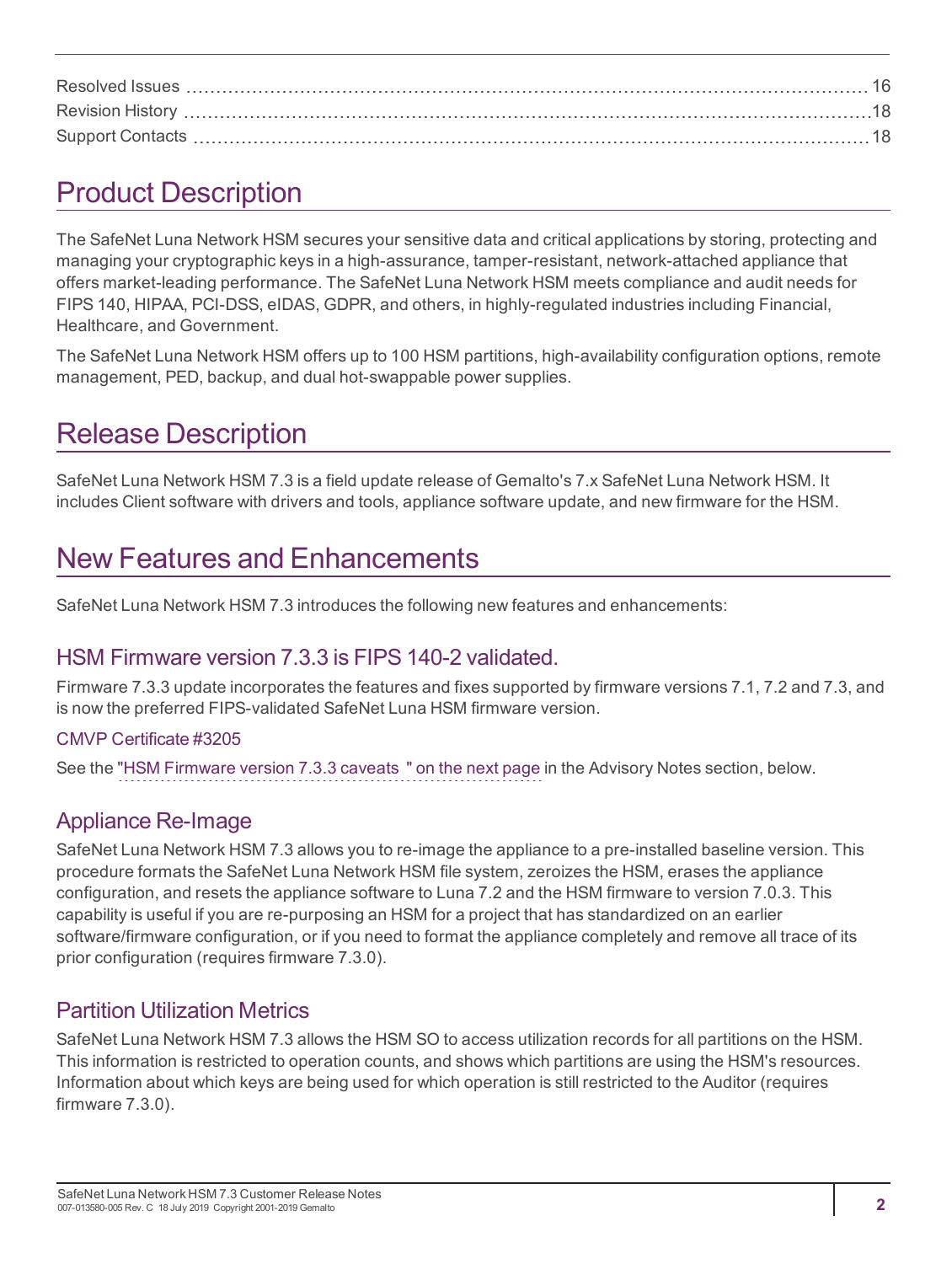# <span id="page-1-0"></span>Product Description

The SafeNet Luna Network HSM secures your sensitive data and critical applications by storing, protecting and managing your cryptographic keys in a high-assurance, tamper-resistant, network-attached appliance that offers market-leading performance. The SafeNet Luna Network HSM meets compliance and audit needs for FIPS 140, HIPAA, PCI-DSS, eIDAS, GDPR, and others, in highly-regulated industries including Financial, Healthcare, and Government.

The SafeNet Luna Network HSM offers up to 100 HSM partitions, high-availability configuration options, remote management, PED, backup, and dual hot-swappable power supplies.

# <span id="page-1-1"></span>Release Description

SafeNet Luna Network HSM 7.3 is a field update release of Gemalto's 7.x SafeNet Luna Network HSM. It includes Client software with drivers and tools, appliance software update, and new firmware for the HSM.

# <span id="page-1-2"></span>New Features and Enhancements

<span id="page-1-3"></span>SafeNet Luna Network HSM 7.3 introduces the following new features and enhancements:

### HSM Firmware version 7.3.3 is FIPS 140-2 validated.

Firmware 7.3.3 update incorporates the features and fixes supported by firmware versions 7.1, 7.2 and 7.3, and is now the preferred FIPS-validated SafeNet Luna HSM firmware version.

#### CMVP [Certificate](https://csrc.nist.gov/projects/cryptographic-module-validation-program/Certificate/3205) #3205

<span id="page-1-4"></span>See the "HSM [Firmware](#page-2-4) version 7.3.3 caveats " on the next page in the Advisory Notes section, below.

### Appliance Re-Image

SafeNet Luna Network HSM 7.3 allows you to re-image the appliance to a pre-installed baseline version. This procedure formats the SafeNet Luna Network HSM file system, zeroizes the HSM, erases the appliance configuration, and resets the appliance software to Luna 7.2 and the HSM firmware to version 7.0.3. This capability is useful if you are re-purposing an HSM for a project that has standardized on an earlier software/firmware configuration, or if you need to format the appliance completely and remove all trace of its prior configuration (requires firmware 7.3.0).

### <span id="page-1-5"></span>Partition Utilization Metrics

SafeNet Luna Network HSM 7.3 allows the HSM SO to access utilization records for all partitions on the HSM. This information is restricted to operation counts, and shows which partitions are using the HSM's resources. Information about which keys are being used for which operation is still restricted to the Auditor (requires firmware 7.3.0).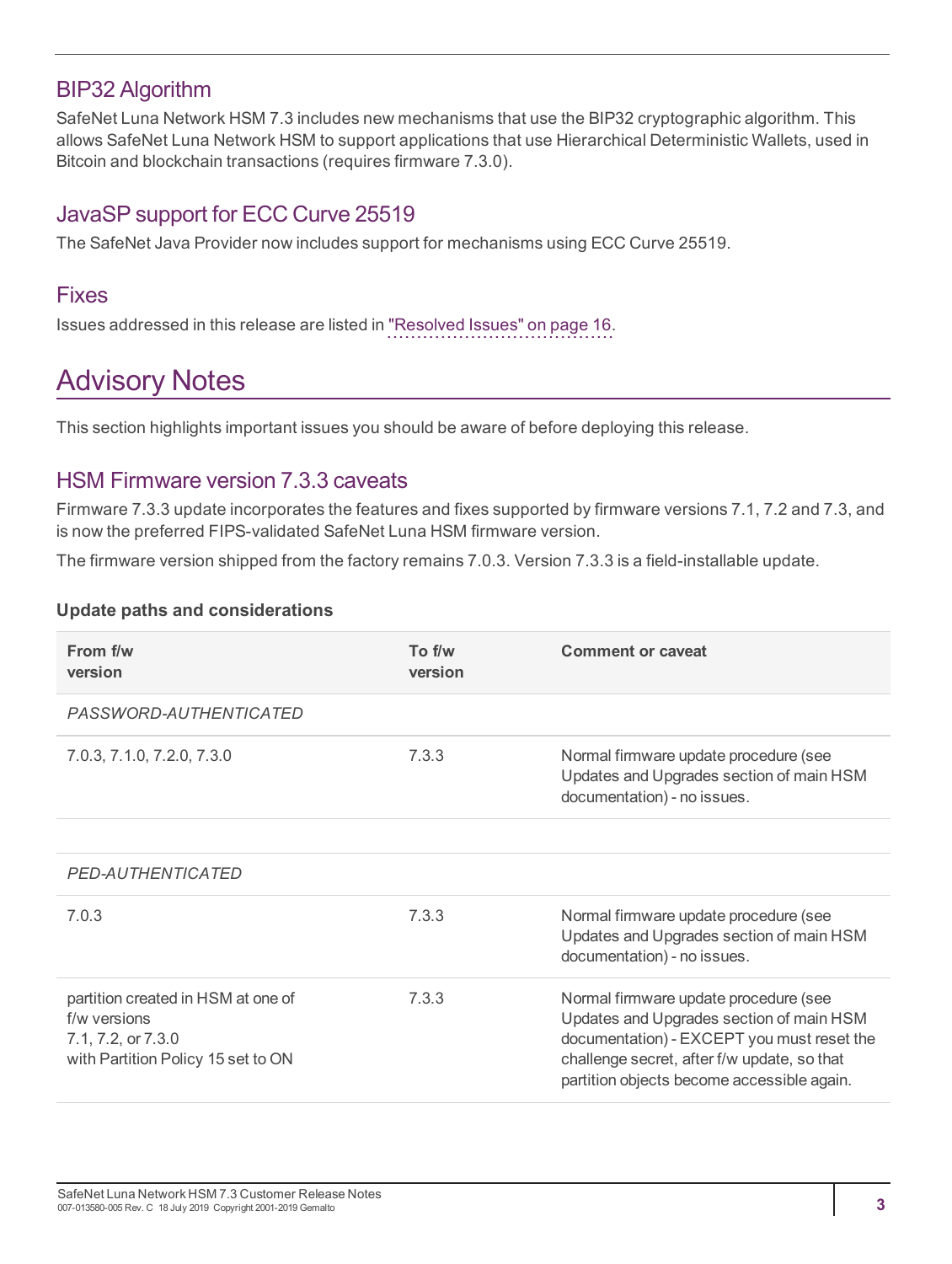### <span id="page-2-0"></span>BIP32 Algorithm

SafeNet Luna Network HSM 7.3 includes new mechanisms that use the BIP32 cryptographic algorithm. This allows SafeNet Luna Network HSM to support applications that use Hierarchical Deterministic Wallets, used in Bitcoin and blockchain transactions (requires firmware 7.3.0).

### <span id="page-2-1"></span>JavaSP support for ECC Curve 25519

<span id="page-2-2"></span>The SafeNet Java Provider now includes support for mechanisms using ECC Curve 25519.

#### Fixes

<span id="page-2-3"></span>Issues addressed in this release are listed in "Resolved [Issues" on](#page-15-0) page 16.

# Advisory Notes

<span id="page-2-4"></span>This section highlights important issues you should be aware of before deploying this release.

### HSM Firmware version 7.3.3 caveats

Firmware 7.3.3 update incorporates the features and fixes supported by firmware versions 7.1, 7.2 and 7.3, and is now the preferred FIPS-validated SafeNet Luna HSM firmware version.

The firmware version shipped from the factory remains 7.0.3. Version 7.3.3 is a field-installable update.

#### <span id="page-2-5"></span>**Update paths and considerations**

| From f/w<br>version                                                                                            | To f/w<br>version | <b>Comment or caveat</b>                                                                                                                                                                                                     |
|----------------------------------------------------------------------------------------------------------------|-------------------|------------------------------------------------------------------------------------------------------------------------------------------------------------------------------------------------------------------------------|
| PASSWORD-AUTHENTICATED                                                                                         |                   |                                                                                                                                                                                                                              |
| 7.0.3, 7.1.0, 7.2.0, 7.3.0                                                                                     | 7.3.3             | Normal firmware update procedure (see<br>Updates and Upgrades section of main HSM<br>documentation) - no issues.                                                                                                             |
|                                                                                                                |                   |                                                                                                                                                                                                                              |
| PED-AUTHENTICATED                                                                                              |                   |                                                                                                                                                                                                                              |
| 7.0.3                                                                                                          | 7.3.3             | Normal firmware update procedure (see<br>Updates and Upgrades section of main HSM<br>documentation) - no issues.                                                                                                             |
| partition created in HSM at one of<br>f/w versions<br>7.1, 7.2, or 7.3.0<br>with Partition Policy 15 set to ON | 7.3.3             | Normal firmware update procedure (see<br>Updates and Upgrades section of main HSM<br>documentation) - EXCEPT you must reset the<br>challenge secret, after f/w update, so that<br>partition objects become accessible again. |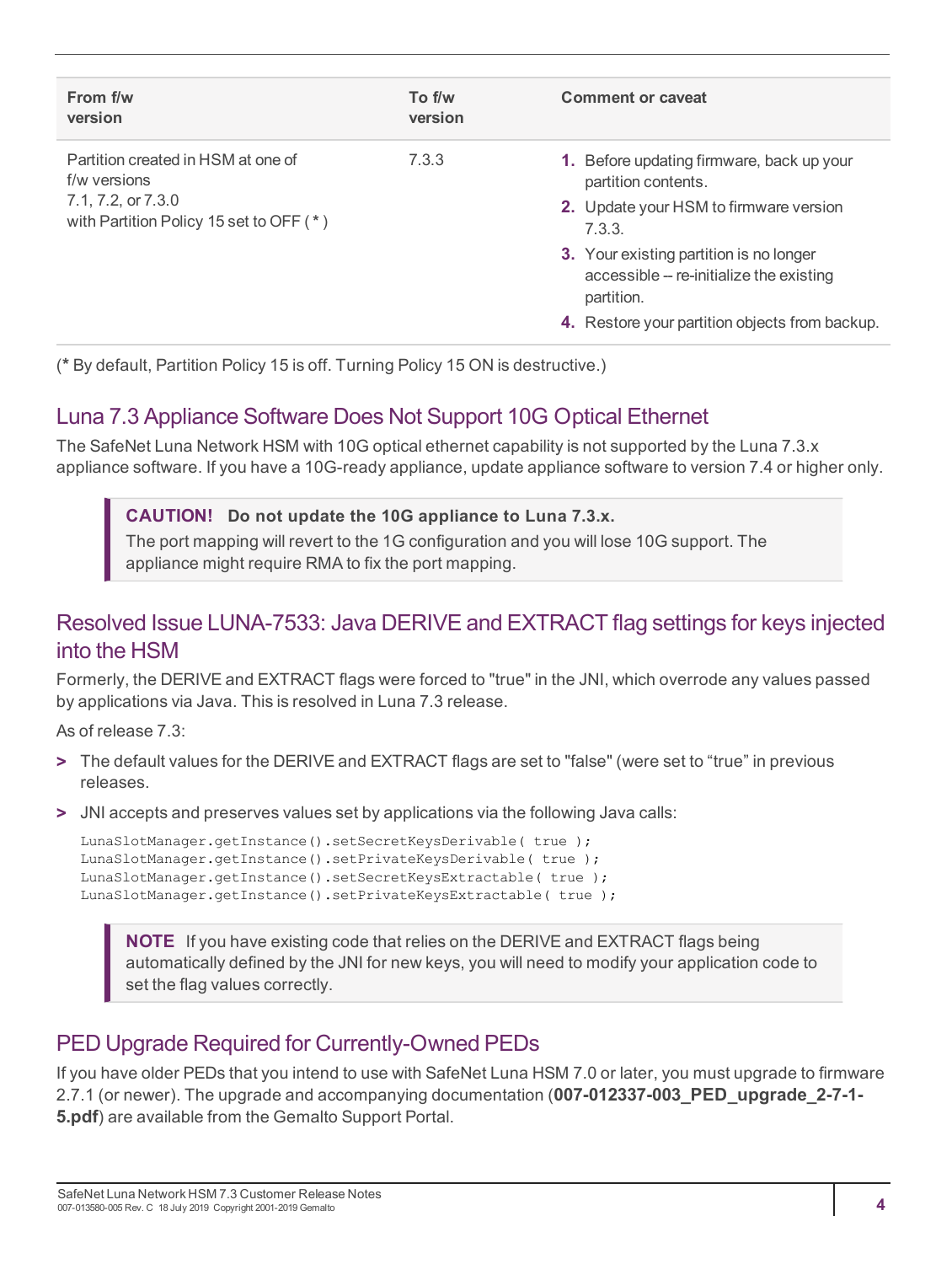| From f/w<br>version                                           | To f/w<br>version | Comment or caveat                                                                                 |
|---------------------------------------------------------------|-------------------|---------------------------------------------------------------------------------------------------|
| Partition created in HSM at one of<br>f/w versions            | 7.3.3             | 1. Before updating firmware, back up your<br>partition contents.                                  |
| 7.1, 7.2, or 7.3.0<br>with Partition Policy 15 set to OFF (*) |                   | 2. Update your HSM to firmware version<br>7.3.3.                                                  |
|                                                               |                   | 3. Your existing partition is no longer<br>accessible -- re-initialize the existing<br>partition. |
|                                                               |                   | 4. Restore your partition objects from backup.                                                    |

<span id="page-3-0"></span>(**\*** By default, Partition Policy 15 is off. Turning Policy 15 ON is destructive.)

### Luna 7.3 Appliance Software Does Not Support 10G Optical Ethernet

The SafeNet Luna Network HSM with 10G optical ethernet capability is not supported by the Luna 7.3.x appliance software. If you have a 10G-ready appliance, update appliance software to version 7.4 or higher only.

#### **CAUTION! Do not update the 10G appliance to Luna 7.3.x.**

The port mapping will revert to the 1G configuration and you will lose 10G support. The appliance might require RMA to fix the port mapping.

### <span id="page-3-1"></span>Resolved Issue LUNA-7533: Java DERIVE and EXTRACT flag settings for keys injected into the HSM

Formerly, the DERIVE and EXTRACT flags were forced to "true" in the JNI, which overrode any values passed by applications via Java. This is resolved in Luna 7.3 release.

As of release 7.3:

- **>** The default values for the DERIVE and EXTRACT flags are set to "false" (were set to "true" in previous releases.
- **>** JNI accepts and preserves values set by applications via the following Java calls:

```
LunaSlotManager.getInstance().setSecretKeysDerivable( true );
LunaSlotManager.getInstance().setPrivateKeysDerivable( true );
LunaSlotManager.getInstance().setSecretKeysExtractable( true );
LunaSlotManager.getInstance().setPrivateKeysExtractable( true );
```
**NOTE** If you have existing code that relies on the DERIVE and EXTRACT flags being automatically defined by the JNI for new keys, you will need to modify your application code to set the flag values correctly.

### <span id="page-3-2"></span>PED Upgrade Required for Currently-Owned PEDs

If you have older PEDs that you intend to use with SafeNet Luna HSM 7.0 or later, you must upgrade to firmware 2.7.1 (or newer). The upgrade and accompanying documentation (**007-012337-003\_PED\_upgrade\_2-7-1- 5.pdf**) are available from the Gemalto Support Portal.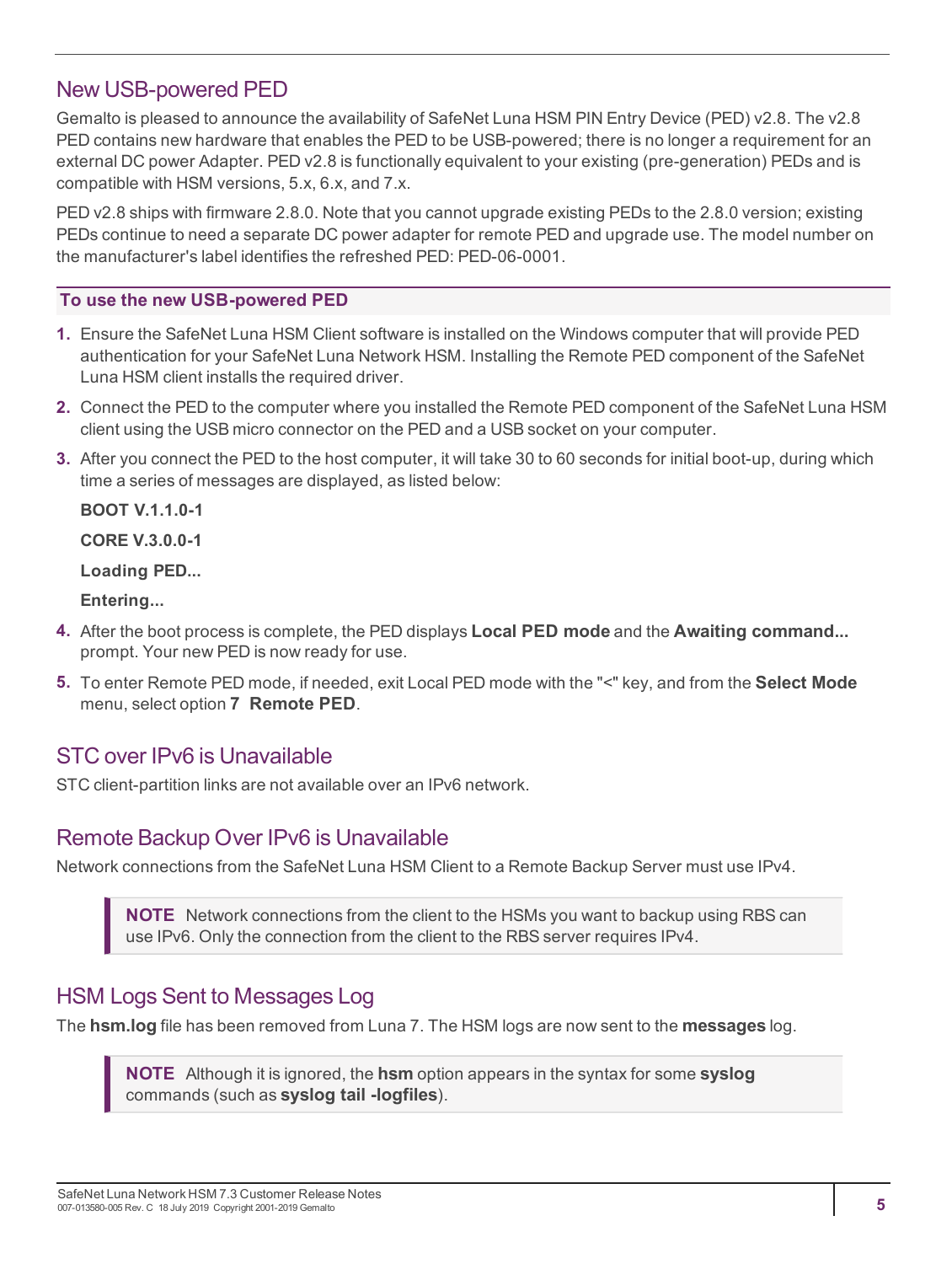### <span id="page-4-0"></span>New USB-powered PED

Gemalto is pleased to announce the availability of SafeNet Luna HSM PIN Entry Device (PED) v2.8. The v2.8 PED contains new hardware that enables the PED to be USB-powered; there is no longer a requirement for an external DC power Adapter. PED v2.8 is functionally equivalent to your existing (pre-generation) PEDs and is compatible with HSM versions, 5.x, 6.x, and 7.x.

PED v2.8 ships with firmware 2.8.0. Note that you cannot upgrade existing PEDs to the 2.8.0 version; existing PEDs continue to need a separate DC power adapter for remote PED and upgrade use. The model number on the manufacturer's label identifies the refreshed PED: PED-06-0001.

#### **To use the new USB-powered PED**

- **1.** Ensure the SafeNet Luna HSM Client software is installed on the Windows computer that will provide PED authentication for your SafeNet Luna Network HSM. Installing the Remote PED component of the SafeNet Luna HSM client installs the required driver.
- **2.** Connect the PED to the computer where you installed the Remote PED component of the SafeNet Luna HSM client using the USB micro connector on the PED and a USB socket on your computer.
- **3.** After you connect the PED to the host computer, it will take 30 to 60 seconds for initial boot-up, during which time a series of messages are displayed, as listed below:

**BOOT V.1.1.0-1**

**CORE V.3.0.0-1**

**Loading PED...**

**Entering...**

- **4.** After the boot process is complete, the PED displays **Local PED mode** and the **Awaiting command...** prompt. Your new PED is now ready for use.
- **5.** To enter Remote PED mode, if needed, exit Local PED mode with the "<" key, and from the **Select Mode** menu, select option **7 Remote PED**.

### <span id="page-4-1"></span>STC over IPv6 is Unavailable

<span id="page-4-2"></span>STC client-partition links are not available over an IPv6 network.

### Remote Backup Over IPv6 is Unavailable

Network connections from the SafeNet Luna HSM Client to a Remote Backup Server must use IPv4.

**NOTE** Network connections from the client to the HSMs you want to backup using RBS can use IPv6. Only the connection from the client to the RBS server requires IPv4.

### <span id="page-4-3"></span>HSM Logs Sent to Messages Log

The **hsm.log** file has been removed from Luna 7. The HSM logs are now sent to the **messages** log.

**NOTE** Although it is ignored, the **hsm** option appears in the syntax for some **syslog** commands (such as **syslog tail -logfiles**).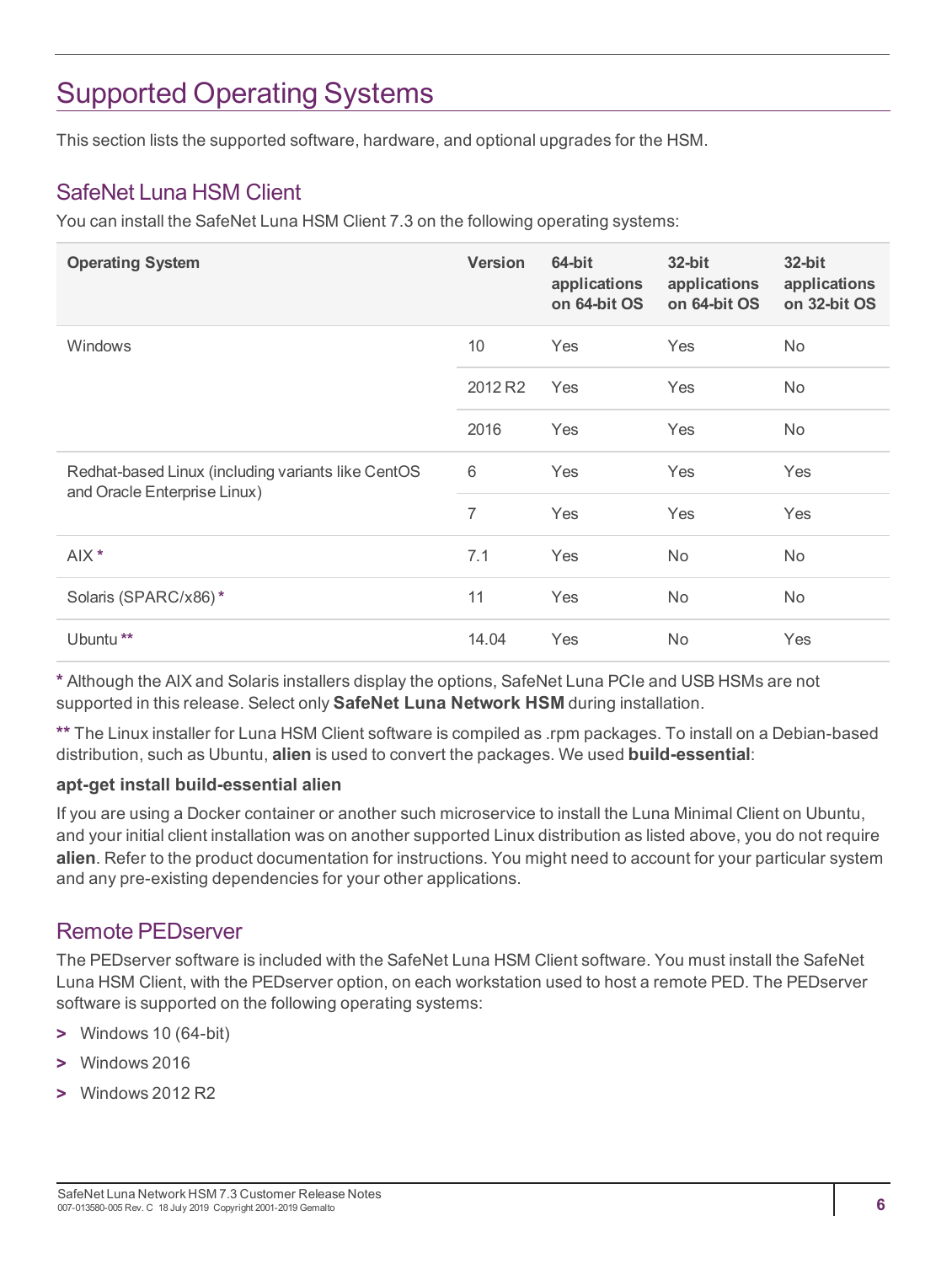# <span id="page-5-0"></span>Supported Operating Systems

<span id="page-5-1"></span>This section lists the supported software, hardware, and optional upgrades for the HSM.

### SafeNet Luna HSM Client

You can install the SafeNet Luna HSM Client 7.3 on the following operating systems:

| <b>Operating System</b>                                                            | <b>Version</b> | 64-bit<br>applications<br>on 64-bit OS | $32$ -bit<br>applications<br>on 64-bit OS | 32-bit<br>applications<br>on 32-bit OS |
|------------------------------------------------------------------------------------|----------------|----------------------------------------|-------------------------------------------|----------------------------------------|
| Windows                                                                            | 10             | Yes                                    | Yes                                       | No.                                    |
|                                                                                    | 2012 R2        | Yes                                    | Yes                                       | No.                                    |
|                                                                                    | 2016           | Yes                                    | Yes                                       | <b>No</b>                              |
| Redhat-based Linux (including variants like CentOS<br>and Oracle Enterprise Linux) | 6              | Yes                                    | Yes                                       | Yes                                    |
|                                                                                    | 7              | Yes                                    | Yes                                       | Yes                                    |
| AIX <sup>*</sup>                                                                   | 7.1            | Yes                                    | <b>No</b>                                 | <b>No</b>                              |
| Solaris (SPARC/x86)*                                                               | 11             | Yes                                    | No                                        | <b>No</b>                              |
| Ubuntu <sup>**</sup>                                                               | 14.04          | Yes                                    | <b>No</b>                                 | Yes                                    |

**\*** Although the AIX and Solaris installers display the options, SafeNet Luna PCIe and USB HSMs are not supported in this release. Select only **SafeNet Luna Network HSM** during installation.

**\*\*** The Linux installer for Luna HSM Client software is compiled as .rpm packages. To install on a Debian-based distribution, such as Ubuntu, **alien** is used to convert the packages. We used **build-essential**:

#### **apt-get install build-essential alien**

If you are using a Docker container or another such microservice to install the Luna Minimal Client on Ubuntu, and your initial client installation was on another supported Linux distribution as listed above, you do not require **alien**. Refer to the product documentation for instructions. You might need to account for your particular system and any pre-existing dependencies for your other applications.

### <span id="page-5-2"></span>Remote PEDserver

The PEDserver software is included with the SafeNet Luna HSM Client software. You must install the SafeNet Luna HSM Client, with the PEDserver option, on each workstation used to host a remote PED. The PEDserver software is supported on the following operating systems:

- **>** Windows 10 (64-bit)
- **>** Windows 2016
- **>** Windows 2012 R2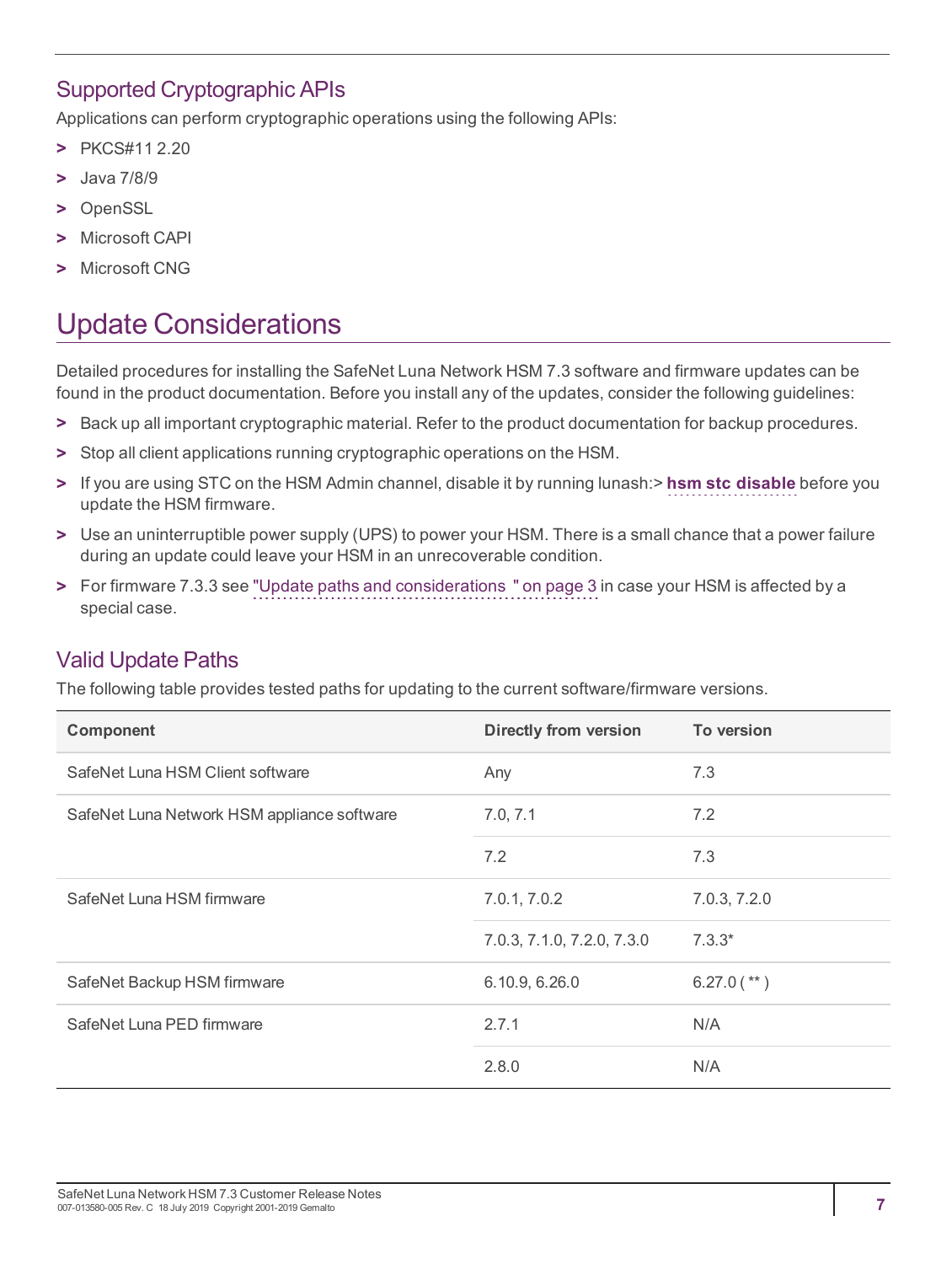### <span id="page-6-0"></span>Supported Cryptographic APIs

Applications can perform cryptographic operations using the following APIs:

- **>** PKCS#11 2.20
- **>** Java 7/8/9
- **>** OpenSSL
- **>** Microsoft CAPI
- <span id="page-6-1"></span>**>** Microsoft CNG

# Update Considerations

Detailed procedures for installing the SafeNet Luna Network HSM 7.3 software and firmware updates can be found in the product documentation. Before you install any of the updates, consider the following guidelines:

- **>** Back up all important cryptographic material. Refer to the product documentation for backup procedures.
- **>** Stop all client applications running cryptographic operations on the HSM.
- **>** If you are using STC on the HSM Admin channel, disable it by running lunash:> **hsm stc disable** before you update the HSM firmware.
- **>** Use an uninterruptible power supply (UPS) to power your HSM. There is a small chance that a power failure during an update could leave your HSM in an unrecoverable condition.
- **>** For firmware 7.3.3 see "Update paths and [considerations](#page-2-5) " on page 3 in case your HSM is affected by a special case.

### <span id="page-6-2"></span>Valid Update Paths

The following table provides tested paths for updating to the current software/firmware versions.

| Component                                   | <b>Directly from version</b> | To version    |
|---------------------------------------------|------------------------------|---------------|
| SafeNet Luna HSM Client software            | Any                          | 7.3           |
| SafeNet Luna Network HSM appliance software | 7.0, 7.1                     | 7.2           |
|                                             | 7.2                          | 7.3           |
| SafeNet Luna HSM firmware                   | 7.0.1, 7.0.2                 | 7.0.3, 7.2.0  |
|                                             | 7.0.3, 7.1.0, 7.2.0, 7.3.0   | $7.3.3*$      |
| SafeNet Backup HSM firmware                 | 6.10.9, 6.26.0               | $6.27.0$ (**) |
| SafeNet Luna PED firmware                   | 2.7.1                        | N/A           |
|                                             | 2.8.0                        | N/A           |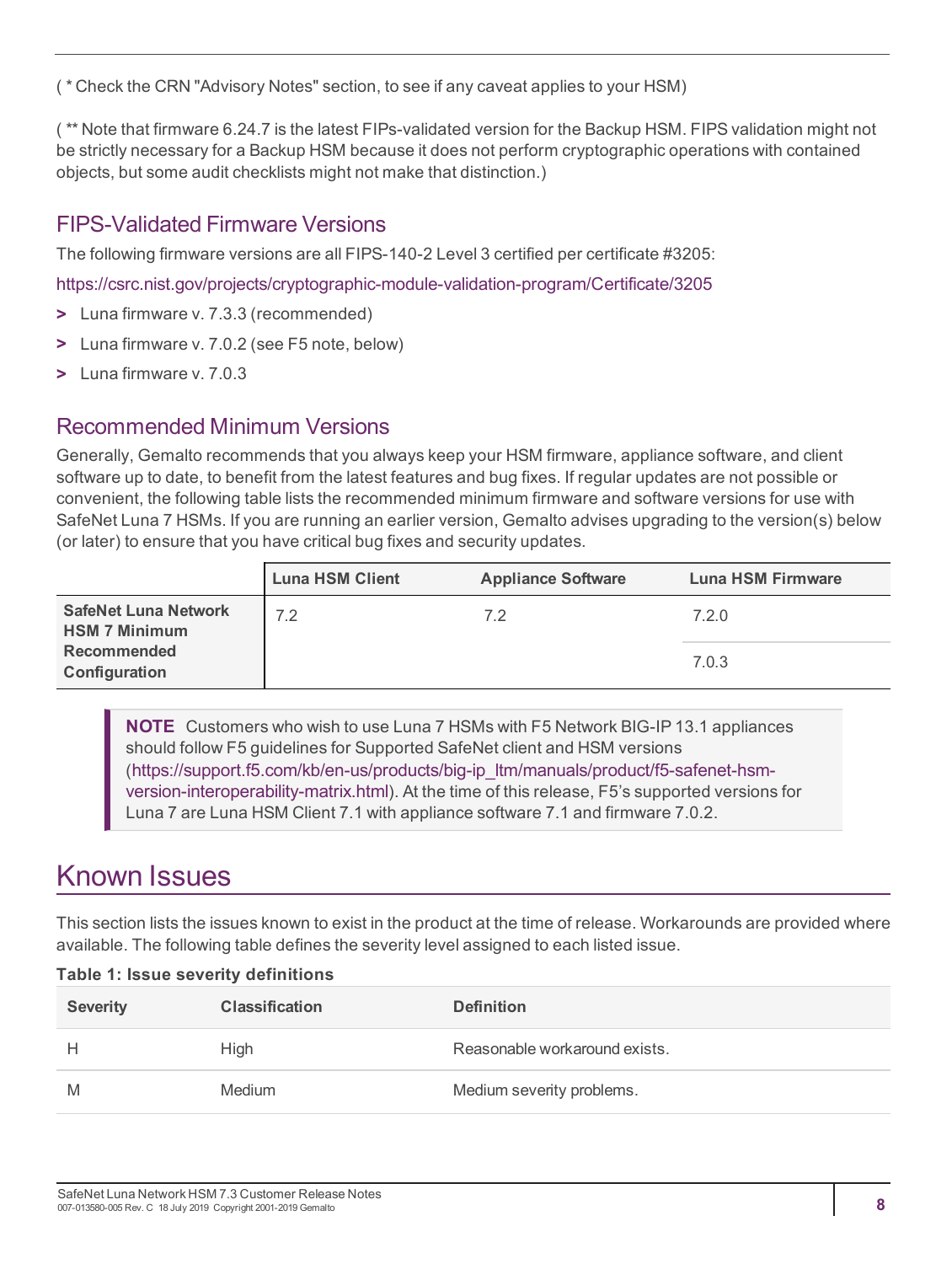( \* Check the CRN "Advisory Notes" section, to see if any caveat applies to your HSM)

( \*\* Note that firmware 6.24.7 is the latest FIPs-validated version for the Backup HSM. FIPS validation might not be strictly necessary for a Backup HSM because it does not perform cryptographic operations with contained objects, but some audit checklists might not make that distinction.)

### <span id="page-7-0"></span>FIPS-Validated Firmware Versions

The following firmware versions are all FIPS-140-2 Level 3 certified per certificate #3205:

<https://csrc.nist.gov/projects/cryptographic-module-validation-program/Certificate/3205>

- **>** Luna firmware v. 7.3.3 (recommended)
- **>** Luna firmware v. 7.0.2 (see F5 note, below)
- <span id="page-7-1"></span>**>** Luna firmware v. 7.0.3

### Recommended Minimum Versions

Generally, Gemalto recommends that you always keep your HSM firmware, appliance software, and client software up to date, to benefit from the latest features and bug fixes. If regular updates are not possible or convenient, the following table lists the recommended minimum firmware and software versions for use with SafeNet Luna 7 HSMs. If you are running an earlier version, Gemalto advises upgrading to the version(s) below (or later) to ensure that you have critical bug fixes and security updates.

|                                                                                            | <b>Luna HSM Client</b> | <b>Appliance Software</b> | Luna HSM Firmware |
|--------------------------------------------------------------------------------------------|------------------------|---------------------------|-------------------|
| <b>SafeNet Luna Network</b><br><b>HSM 7 Minimum</b><br><b>Recommended</b><br>Configuration | 7.2                    | 72                        | 7.2.0<br>7.0.3    |

**NOTE** Customers who wish to use Luna 7 HSMs with F5 Network BIG-IP 13.1 appliances should follow F5 guidelines for Supported SafeNet client and HSM versions ([https://support.f5.com/kb/en-us/products/big-ip\\_ltm/manuals/product/f5-safenet-hsm](https://support.f5.com/kb/en-us/products/big-ip_ltm/manuals/product/f5-safenet-hsm-version-interoperability-matrix.html)[version-interoperability-matrix.html](https://support.f5.com/kb/en-us/products/big-ip_ltm/manuals/product/f5-safenet-hsm-version-interoperability-matrix.html)). At the time of this release, F5's supported versions for Luna 7 are Luna HSM Client 7.1 with appliance software 7.1 and firmware 7.0.2.

## <span id="page-7-2"></span>Known Issues

This section lists the issues known to exist in the product at the time of release. Workarounds are provided where available. The following table defines the severity level assigned to each listed issue.

| Table 1: Issue severity definitions |                       |                               |  |
|-------------------------------------|-----------------------|-------------------------------|--|
| <b>Severity</b>                     | <b>Classification</b> | <b>Definition</b>             |  |
| н                                   | <b>High</b>           | Reasonable workaround exists. |  |
| M                                   | Medium                | Medium severity problems.     |  |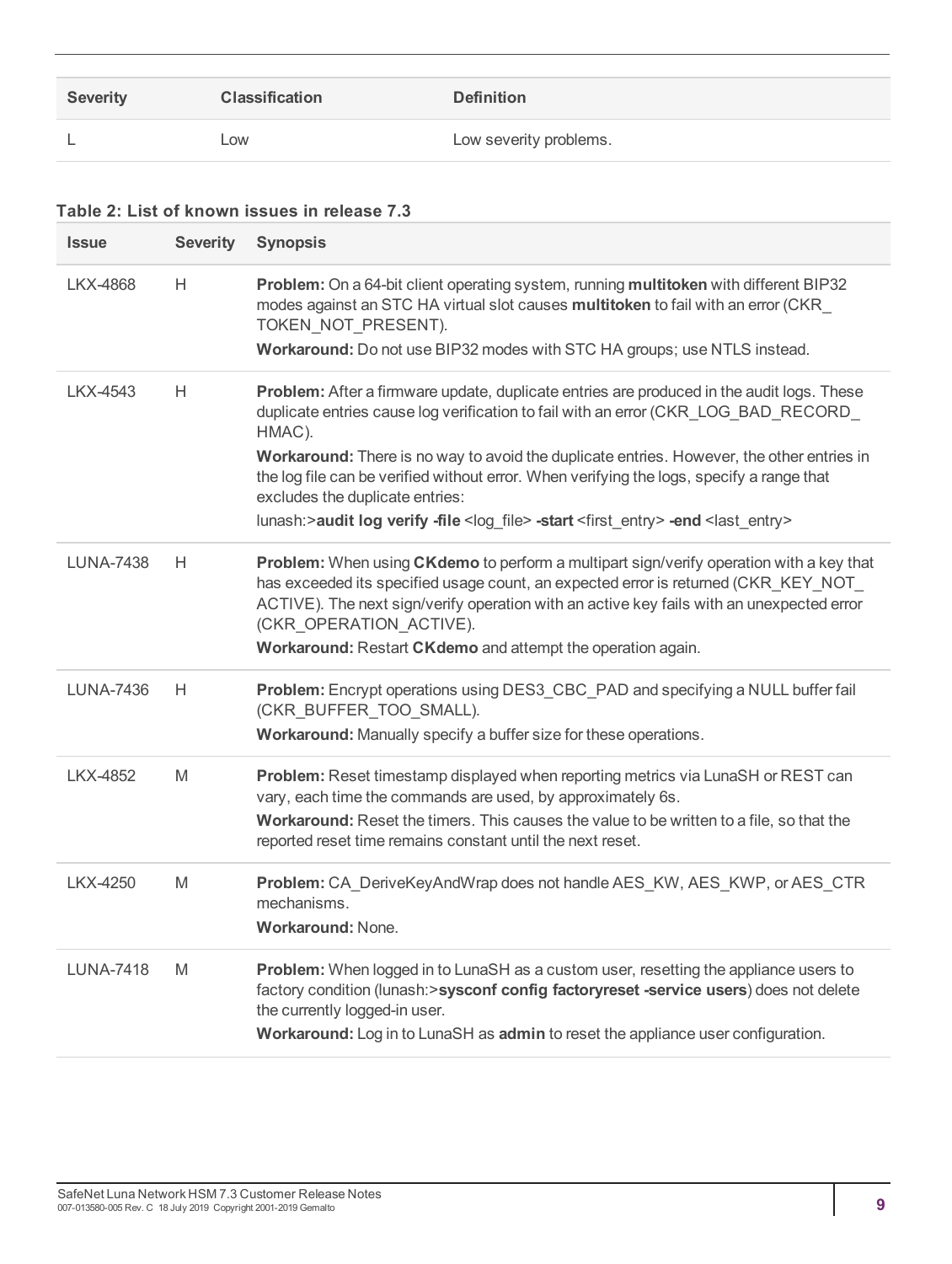| <b>Severity</b> | <b>Classification</b> | <b>Definition</b>      |
|-----------------|-----------------------|------------------------|
| -               | Low                   | Low severity problems. |

#### **Table 2: List of known issues in release 7.3**

| <b>Issue</b>     | <b>Severity</b> | <b>Synopsis</b>                                                                                                                                                                                                                                                                                                                                                       |
|------------------|-----------------|-----------------------------------------------------------------------------------------------------------------------------------------------------------------------------------------------------------------------------------------------------------------------------------------------------------------------------------------------------------------------|
| <b>LKX-4868</b>  | H               | Problem: On a 64-bit client operating system, running multitoken with different BIP32<br>modes against an STC HA virtual slot causes multitoken to fail with an error (CKR<br>TOKEN_NOT_PRESENT).<br>Workaround: Do not use BIP32 modes with STC HA groups; use NTLS instead.                                                                                         |
|                  |                 |                                                                                                                                                                                                                                                                                                                                                                       |
| LKX-4543         | Н               | Problem: After a firmware update, duplicate entries are produced in the audit logs. These<br>duplicate entries cause log verification to fail with an error (CKR_LOG_BAD_RECORD_<br>HMAC).                                                                                                                                                                            |
|                  |                 | Workaround: There is no way to avoid the duplicate entries. However, the other entries in<br>the log file can be verified without error. When verifying the logs, specify a range that<br>excludes the duplicate entries:                                                                                                                                             |
|                  |                 | lunash:>audit log verify -file <log file=""> -start <first entry=""> -end <last entry=""></last></first></log>                                                                                                                                                                                                                                                        |
| <b>LUNA-7438</b> | Н               | Problem: When using CKdemo to perform a multipart sign/verify operation with a key that<br>has exceeded its specified usage count, an expected error is returned (CKR_KEY_NOT_<br>ACTIVE). The next sign/verify operation with an active key fails with an unexpected error<br>(CKR OPERATION ACTIVE).<br>Workaround: Restart CKdemo and attempt the operation again. |
|                  |                 |                                                                                                                                                                                                                                                                                                                                                                       |
| LUNA-7436        | H               | Problem: Encrypt operations using DES3_CBC_PAD and specifying a NULL buffer fail<br>(CKR_BUFFER_TOO_SMALL).                                                                                                                                                                                                                                                           |
|                  |                 | Workaround: Manually specify a buffer size for these operations.                                                                                                                                                                                                                                                                                                      |
| LKX-4852         | M               | Problem: Reset timestamp displayed when reporting metrics via LunaSH or REST can<br>vary, each time the commands are used, by approximately 6s.                                                                                                                                                                                                                       |
|                  |                 | Workaround: Reset the timers. This causes the value to be written to a file, so that the<br>reported reset time remains constant until the next reset.                                                                                                                                                                                                                |
| <b>LKX-4250</b>  | M               | Problem: CA_DeriveKeyAndWrap does not handle AES_KW, AES_KWP, or AES_CTR<br>mechanisms.<br><b>Workaround: None.</b>                                                                                                                                                                                                                                                   |
| <b>LUNA-7418</b> | M               | Problem: When logged in to LunaSH as a custom user, resetting the appliance users to<br>factory condition (lunash:>sysconf config factoryreset -service users) does not delete<br>the currently logged-in user.<br>Workaround: Log in to LunaSH as admin to reset the appliance user configuration.                                                                   |
|                  |                 |                                                                                                                                                                                                                                                                                                                                                                       |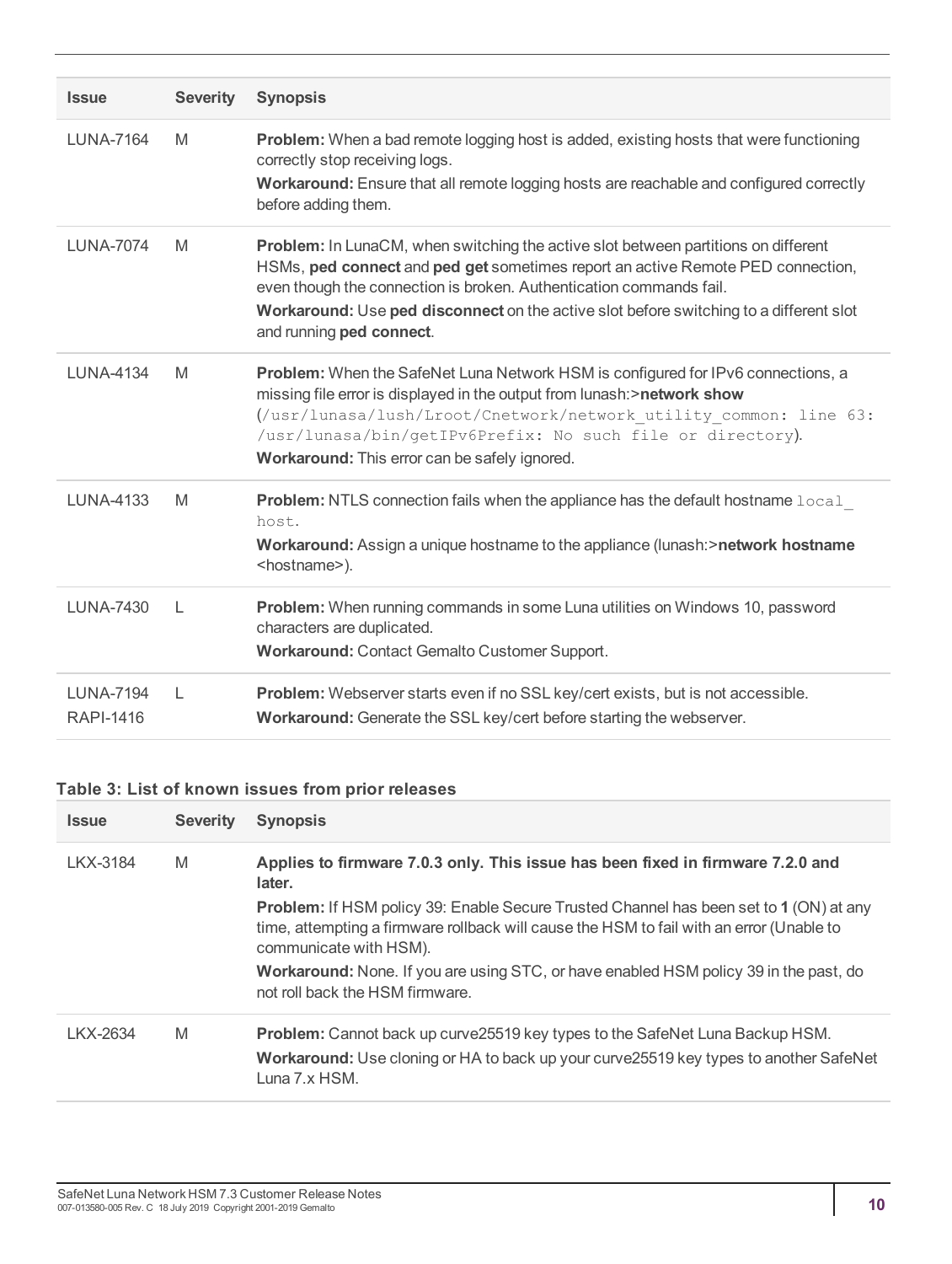| <b>Issue</b>                         | <b>Severity</b> | <b>Synopsis</b>                                                                                                                                                                                                                                                                                                                                                    |
|--------------------------------------|-----------------|--------------------------------------------------------------------------------------------------------------------------------------------------------------------------------------------------------------------------------------------------------------------------------------------------------------------------------------------------------------------|
| <b>LUNA-7164</b>                     | M               | <b>Problem:</b> When a bad remote logging host is added, existing hosts that were functioning<br>correctly stop receiving logs.<br>Workaround: Ensure that all remote logging hosts are reachable and configured correctly<br>before adding them.                                                                                                                  |
| <b>LUNA-7074</b>                     | M               | Problem: In LunaCM, when switching the active slot between partitions on different<br>HSMs, ped connect and ped get sometimes report an active Remote PED connection,<br>even though the connection is broken. Authentication commands fail.<br>Workaround: Use ped disconnect on the active slot before switching to a different slot<br>and running ped connect. |
| <b>LUNA-4134</b>                     | M               | Problem: When the SafeNet Luna Network HSM is configured for IPv6 connections, a<br>missing file error is displayed in the output from lunash:>network show<br>(/usr/lunasa/lush/Lroot/Cnetwork/network utility common: line 63:<br>/usr/lunasa/bin/getIPv6Prefix: No such file or directory).<br>Workaround: This error can be safely ignored.                    |
| <b>LUNA-4133</b>                     | M               | <b>Problem:</b> NTLS connection fails when the appliance has the default hostname $local$<br>host.<br>Workaround: Assign a unique hostname to the appliance (lunash: > network hostname<br><hostname>).</hostname>                                                                                                                                                 |
| <b>LUNA-7430</b>                     | $\mathbf{L}$    | Problem: When running commands in some Luna utilities on Windows 10, password<br>characters are duplicated.<br>Workaround: Contact Gemalto Customer Support.                                                                                                                                                                                                       |
| <b>LUNA-7194</b><br><b>RAPI-1416</b> | L               | Problem: Webserver starts even if no SSL key/cert exists, but is not accessible.<br>Workaround: Generate the SSL key/cert before starting the webserver.                                                                                                                                                                                                           |

#### **Table 3: List of known issues from prior releases**

| <b>Issue</b> | <b>Severity</b> | <b>Synopsis</b>                                                                                                                                                                                                     |
|--------------|-----------------|---------------------------------------------------------------------------------------------------------------------------------------------------------------------------------------------------------------------|
| LKX-3184     | M               | Applies to firmware 7.0.3 only. This issue has been fixed in firmware 7.2.0 and<br>later.                                                                                                                           |
|              |                 | <b>Problem:</b> If HSM policy 39: Enable Secure Trusted Channel has been set to 1 (ON) at any<br>time, attempting a firmware rollback will cause the HSM to fail with an error (Unable to<br>communicate with HSM). |
|              |                 | <b>Workaround:</b> None. If you are using STC, or have enabled HSM policy 39 in the past, do<br>not roll back the HSM firmware.                                                                                     |
| LKX-2634     | M               | Problem: Cannot back up curve25519 key types to the SafeNet Luna Backup HSM.<br>Workaround: Use cloning or HA to back up your curve25519 key types to another SafeNet<br>Luna 7.x HSM.                              |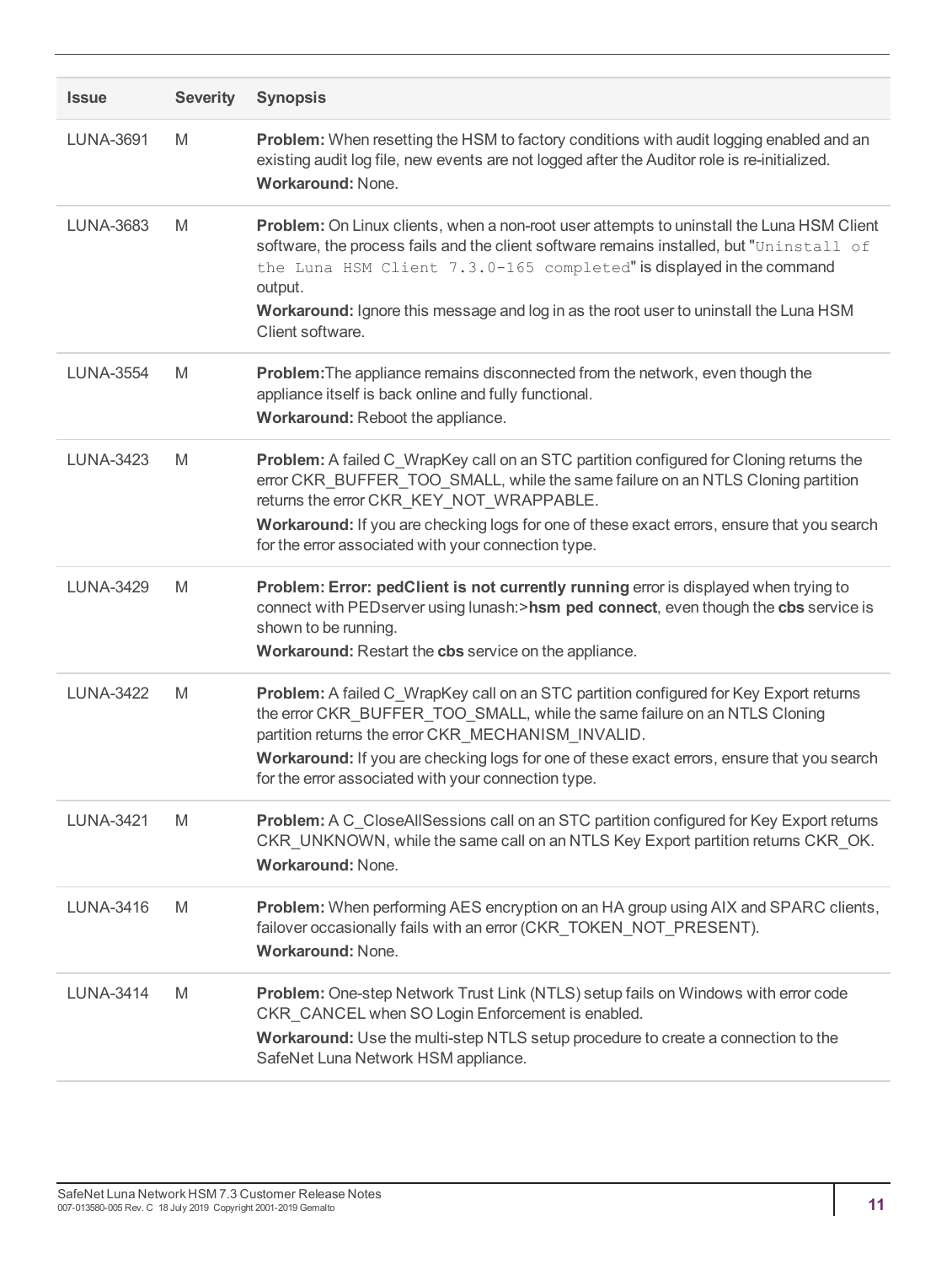| <b>Issue</b>     | <b>Severity</b> | <b>Synopsis</b>                                                                                                                                                                                                                                                                                                                                                                       |
|------------------|-----------------|---------------------------------------------------------------------------------------------------------------------------------------------------------------------------------------------------------------------------------------------------------------------------------------------------------------------------------------------------------------------------------------|
| <b>LUNA-3691</b> | M               | Problem: When resetting the HSM to factory conditions with audit logging enabled and an<br>existing audit log file, new events are not logged after the Auditor role is re-initialized.<br><b>Workaround: None.</b>                                                                                                                                                                   |
| LUNA-3683        | M               | Problem: On Linux clients, when a non-root user attempts to uninstall the Luna HSM Client<br>software, the process fails and the client software remains installed, but "Uninstall of<br>the Luna HSM Client 7.3.0-165 completed" is displayed in the command<br>output.<br>Workaround: Ignore this message and log in as the root user to uninstall the Luna HSM<br>Client software. |
| <b>LUNA-3554</b> | M               | <b>Problem:</b> The appliance remains disconnected from the network, even though the<br>appliance itself is back online and fully functional.<br>Workaround: Reboot the appliance.                                                                                                                                                                                                    |
| <b>LUNA-3423</b> | M               | Problem: A failed C_WrapKey call on an STC partition configured for Cloning returns the<br>error CKR_BUFFER_TOO_SMALL, while the same failure on an NTLS Cloning partition<br>returns the error CKR_KEY_NOT_WRAPPABLE.<br>Workaround: If you are checking logs for one of these exact errors, ensure that you search<br>for the error associated with your connection type.           |
| <b>LUNA-3429</b> | M               | Problem: Error: pedClient is not currently running error is displayed when trying to<br>connect with PEDserver using lunash:>hsm ped connect, even though the cbs service is<br>shown to be running.<br>Workaround: Restart the cbs service on the appliance.                                                                                                                         |
| <b>LUNA-3422</b> | M               | Problem: A failed C_WrapKey call on an STC partition configured for Key Export returns<br>the error CKR_BUFFER_TOO_SMALL, while the same failure on an NTLS Cloning<br>partition returns the error CKR_MECHANISM_INVALID.<br>Workaround: If you are checking logs for one of these exact errors, ensure that you search<br>for the error associated with your connection type.        |
| <b>LUNA-3421</b> | M               | Problem: A C_CloseAllSessions call on an STC partition configured for Key Export returns<br>CKR_UNKNOWN, while the same call on an NTLS Key Export partition returns CKR OK.<br><b>Workaround: None.</b>                                                                                                                                                                              |
| LUNA-3416        | M               | Problem: When performing AES encryption on an HA group using AIX and SPARC clients,<br>failover occasionally fails with an error (CKR_TOKEN_NOT_PRESENT).<br><b>Workaround: None.</b>                                                                                                                                                                                                 |
| <b>LUNA-3414</b> | M               | Problem: One-step Network Trust Link (NTLS) setup fails on Windows with error code<br>CKR_CANCEL when SO Login Enforcement is enabled.<br>Workaround: Use the multi-step NTLS setup procedure to create a connection to the<br>SafeNet Luna Network HSM appliance.                                                                                                                    |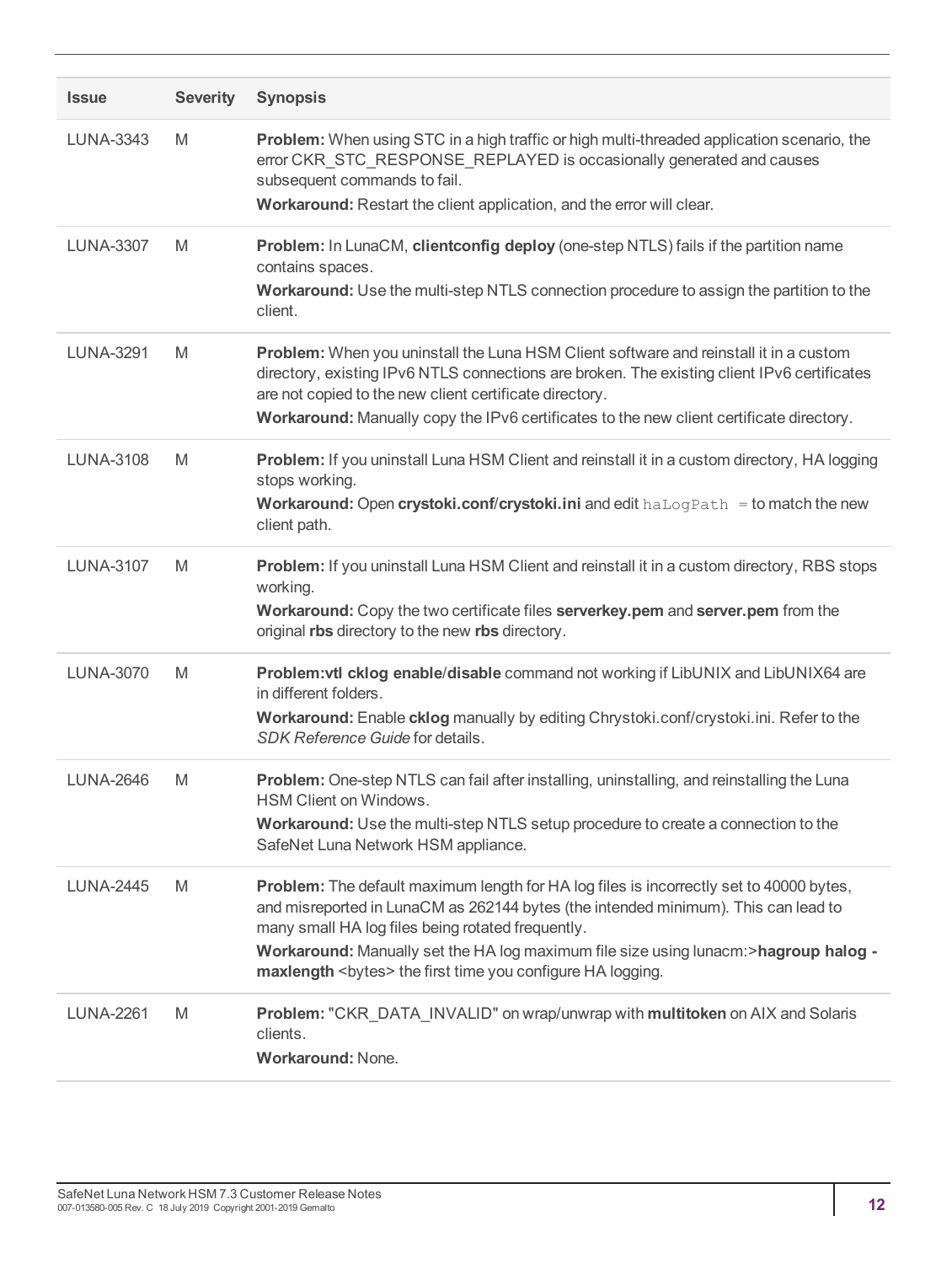| <b>Issue</b>     | <b>Severity</b> | <b>Synopsis</b>                                                                                                                                                                                                                                                                                                                                                                                 |
|------------------|-----------------|-------------------------------------------------------------------------------------------------------------------------------------------------------------------------------------------------------------------------------------------------------------------------------------------------------------------------------------------------------------------------------------------------|
| <b>LUNA-3343</b> | M               | Problem: When using STC in a high traffic or high multi-threaded application scenario, the<br>error CKR STC RESPONSE REPLAYED is occasionally generated and causes<br>subsequent commands to fail.<br>Workaround: Restart the client application, and the error will clear.                                                                                                                     |
| <b>LUNA-3307</b> | M               | Problem: In LunaCM, clientconfig deploy (one-step NTLS) fails if the partition name<br>contains spaces.<br>Workaround: Use the multi-step NTLS connection procedure to assign the partition to the<br>client.                                                                                                                                                                                   |
| <b>LUNA-3291</b> | M               | Problem: When you uninstall the Luna HSM Client software and reinstall it in a custom<br>directory, existing IPv6 NTLS connections are broken. The existing client IPv6 certificates<br>are not copied to the new client certificate directory.<br>Workaround: Manually copy the IPv6 certificates to the new client certificate directory.                                                     |
| <b>LUNA-3108</b> | M               | Problem: If you uninstall Luna HSM Client and reinstall it in a custom directory, HA logging<br>stops working.<br><b>Workaround: Open crystoki.conf/crystoki.ini</b> and edit $haLogPath = to$ match the new<br>client path.                                                                                                                                                                    |
| <b>LUNA-3107</b> | M               | Problem: If you uninstall Luna HSM Client and reinstall it in a custom directory, RBS stops<br>working.<br>Workaround: Copy the two certificate files serverkey.pem and server.pem from the<br>original rbs directory to the new rbs directory.                                                                                                                                                 |
| <b>LUNA-3070</b> | M               | Problem: vtl cklog enable/disable command not working if LibUNIX and LibUNIX64 are<br>in different folders.<br>Workaround: Enable cklog manually by editing Chrystoki.conf/crystoki.ini. Refer to the<br>SDK Reference Guide for details.                                                                                                                                                       |
| <b>LUNA-2646</b> | M               | Problem: One-step NTLS can fail after installing, uninstalling, and reinstalling the Luna<br>HSM Client on Windows.<br><b>Workaround:</b> Use the multi-step NTLS setup procedure to create a connection to the<br>SafeNet Luna Network HSM appliance.                                                                                                                                          |
| <b>LUNA-2445</b> | M               | Problem: The default maximum length for HA log files is incorrectly set to 40000 bytes,<br>and misreported in LunaCM as 262144 bytes (the intended minimum). This can lead to<br>many small HA log files being rotated frequently.<br>Workaround: Manually set the HA log maximum file size using lunacm:>hagroup halog -<br>maxlength <bytes> the first time you configure HA logging.</bytes> |
| <b>LUNA-2261</b> | M               | Problem: "CKR_DATA_INVALID" on wrap/unwrap with multitoken on AIX and Solaris<br>clients.<br><b>Workaround: None.</b>                                                                                                                                                                                                                                                                           |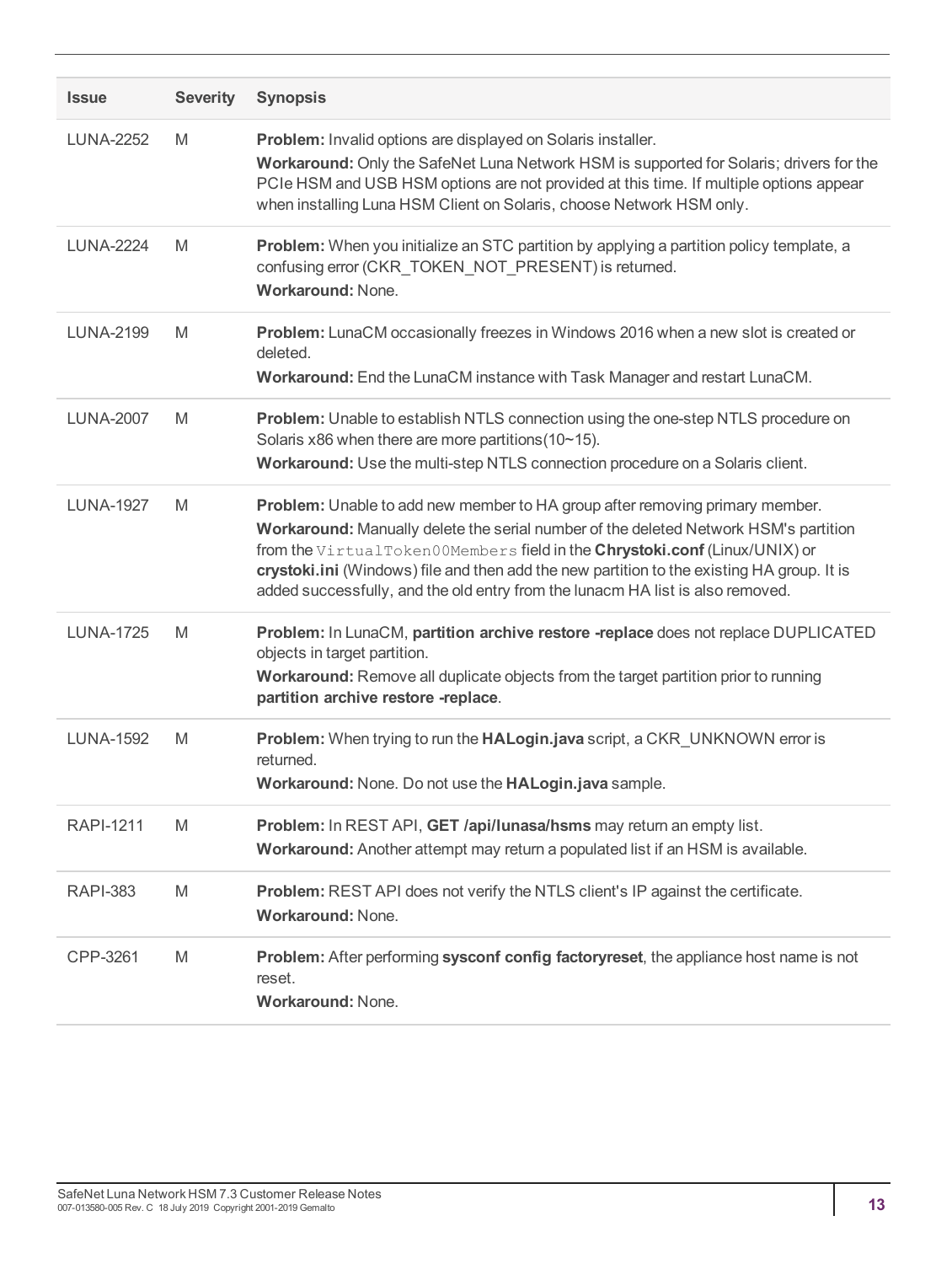| <b>Issue</b>     | <b>Severity</b> | <b>Synopsis</b>                                                                                                                                                                                                                                                                                                                                                                                                                    |
|------------------|-----------------|------------------------------------------------------------------------------------------------------------------------------------------------------------------------------------------------------------------------------------------------------------------------------------------------------------------------------------------------------------------------------------------------------------------------------------|
| <b>LUNA-2252</b> | M               | Problem: Invalid options are displayed on Solaris installer.<br>Workaround: Only the SafeNet Luna Network HSM is supported for Solaris; drivers for the<br>PCIe HSM and USB HSM options are not provided at this time. If multiple options appear<br>when installing Luna HSM Client on Solaris, choose Network HSM only.                                                                                                          |
| <b>LUNA-2224</b> | M               | Problem: When you initialize an STC partition by applying a partition policy template, a<br>confusing error (CKR_TOKEN_NOT_PRESENT) is returned.<br>Workaround: None.                                                                                                                                                                                                                                                              |
| <b>LUNA-2199</b> | M               | Problem: LunaCM occasionally freezes in Windows 2016 when a new slot is created or<br>deleted.<br>Workaround: End the LunaCM instance with Task Manager and restart LunaCM.                                                                                                                                                                                                                                                        |
| <b>LUNA-2007</b> | M               | Problem: Unable to establish NTLS connection using the one-step NTLS procedure on<br>Solaris x86 when there are more partitions (10~15).<br>Workaround: Use the multi-step NTLS connection procedure on a Solaris client.                                                                                                                                                                                                          |
| <b>LUNA-1927</b> | M               | Problem: Unable to add new member to HA group after removing primary member.<br>Workaround: Manually delete the serial number of the deleted Network HSM's partition<br>from the VirtualToken00Members field in the Chrystoki.conf (Linux/UNIX) or<br>crystoki.ini (Windows) file and then add the new partition to the existing HA group. It is<br>added successfully, and the old entry from the lunacm HA list is also removed. |
| <b>LUNA-1725</b> | M               | Problem: In LunaCM, partition archive restore -replace does not replace DUPLICATED<br>objects in target partition.<br>Workaround: Remove all duplicate objects from the target partition prior to running<br>partition archive restore -replace.                                                                                                                                                                                   |
| <b>LUNA-1592</b> | M               | Problem: When trying to run the HALogin.java script, a CKR UNKNOWN error is<br>returned.<br>Workaround: None. Do not use the HALogin.java sample.                                                                                                                                                                                                                                                                                  |
| <b>RAPI-1211</b> | M               | Problem: In REST API, GET /api/lunasa/hsms may return an empty list.<br>Workaround: Another attempt may return a populated list if an HSM is available.                                                                                                                                                                                                                                                                            |
| <b>RAPI-383</b>  | M               | Problem: REST API does not verify the NTLS client's IP against the certificate.<br>Workaround: None.                                                                                                                                                                                                                                                                                                                               |
| CPP-3261         | M               | Problem: After performing sysconf config factoryreset, the appliance host name is not<br>reset.<br><b>Workaround: None.</b>                                                                                                                                                                                                                                                                                                        |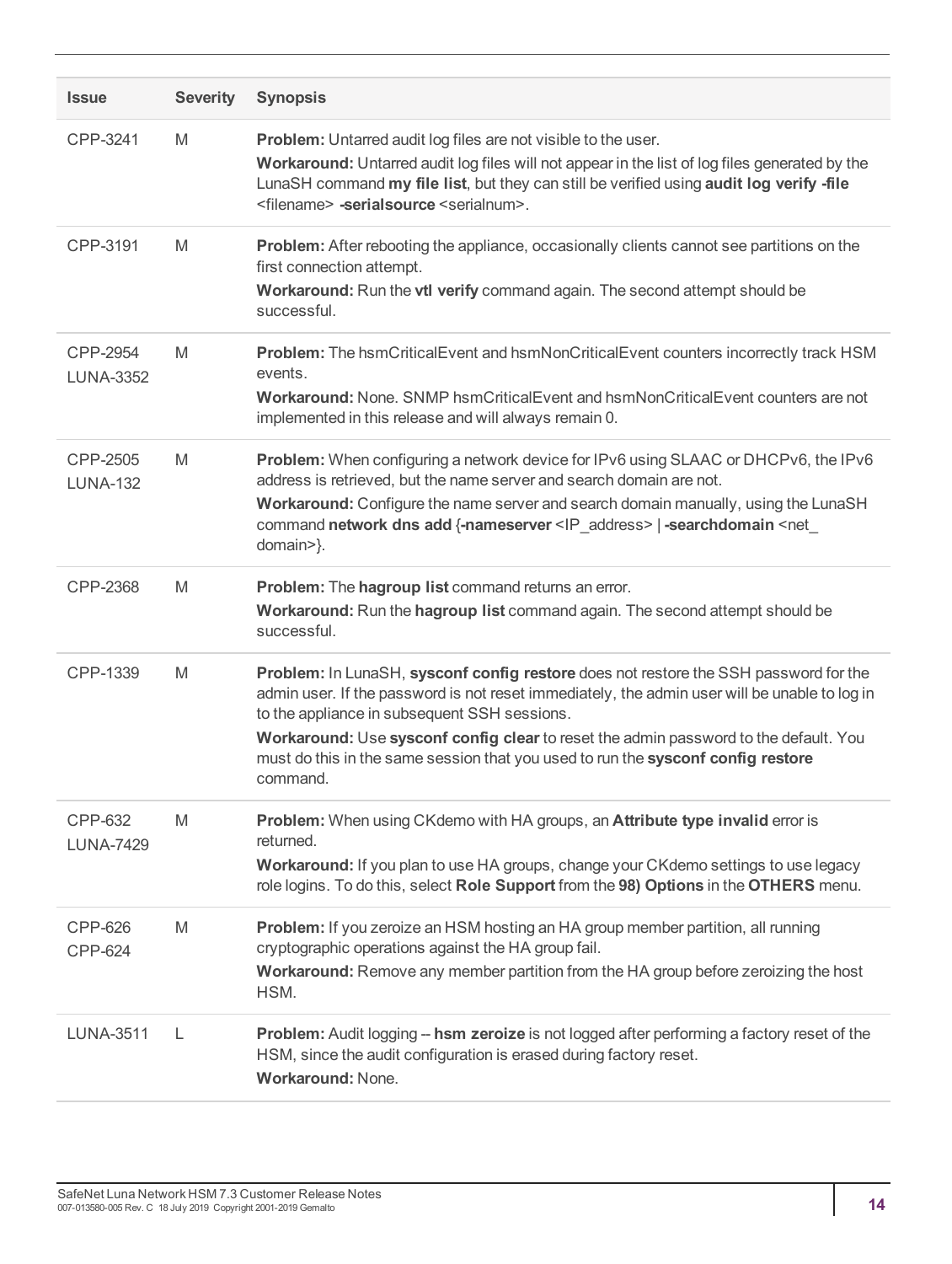| <b>Issue</b>                     | <b>Severity</b> | <b>Synopsis</b>                                                                                                                                                                                                                                                                                                                                                                                                               |
|----------------------------------|-----------------|-------------------------------------------------------------------------------------------------------------------------------------------------------------------------------------------------------------------------------------------------------------------------------------------------------------------------------------------------------------------------------------------------------------------------------|
| CPP-3241                         | M               | <b>Problem:</b> Untarred audit log files are not visible to the user.<br>Workaround: Untarred audit log files will not appear in the list of log files generated by the<br>LunaSH command my file list, but they can still be verified using audit log verify -file<br><filename> -serialsource <serialnum>.</serialnum></filename>                                                                                           |
| CPP-3191                         | M               | Problem: After rebooting the appliance, occasionally clients cannot see partitions on the<br>first connection attempt.<br>Workaround: Run the vtl verify command again. The second attempt should be<br>successful.                                                                                                                                                                                                           |
| CPP-2954<br><b>LUNA-3352</b>     | M               | Problem: The hsmCriticalEvent and hsmNonCriticalEvent counters incorrectly track HSM<br>events.<br>Workaround: None, SNMP hsmCriticalEvent and hsmNonCriticalEvent counters are not<br>implemented in this release and will always remain 0.                                                                                                                                                                                  |
| CPP-2505<br><b>LUNA-132</b>      | M               | Problem: When configuring a network device for IPv6 using SLAAC or DHCPv6, the IPv6<br>address is retrieved, but the name server and search domain are not.<br>Workaround: Configure the name server and search domain manually, using the LunaSH<br>command network dns add {-nameserver <ip_address>   -searchdomain <net_<br>domain&gt;}.</net_<br></ip_address>                                                           |
| CPP-2368                         | M               | Problem: The hagroup list command returns an error.<br>Workaround: Run the hagroup list command again. The second attempt should be<br>successful.                                                                                                                                                                                                                                                                            |
| CPP-1339                         | M               | Problem: In LunaSH, sysconf config restore does not restore the SSH password for the<br>admin user. If the password is not reset immediately, the admin user will be unable to log in<br>to the appliance in subsequent SSH sessions.<br>Workaround: Use sysconf config clear to reset the admin password to the default. You<br>must do this in the same session that you used to run the sysconf config restore<br>command. |
| CPP-632<br><b>LUNA-7429</b>      | M               | Problem: When using CKdemo with HA groups, an Attribute type invalid error is<br>returned.<br>Workaround: If you plan to use HA groups, change your CKdemo settings to use legacy<br>role logins. To do this, select Role Support from the 98) Options in the OTHERS menu.                                                                                                                                                    |
| <b>CPP-626</b><br><b>CPP-624</b> | M               | Problem: If you zeroize an HSM hosting an HA group member partition, all running<br>cryptographic operations against the HA group fail.<br>Workaround: Remove any member partition from the HA group before zeroizing the host<br>HSM.                                                                                                                                                                                        |
| <b>LUNA-3511</b>                 | L               | <b>Problem:</b> Audit logging -- hsm zeroize is not logged after performing a factory reset of the<br>HSM, since the audit configuration is erased during factory reset.<br>Workaround: None.                                                                                                                                                                                                                                 |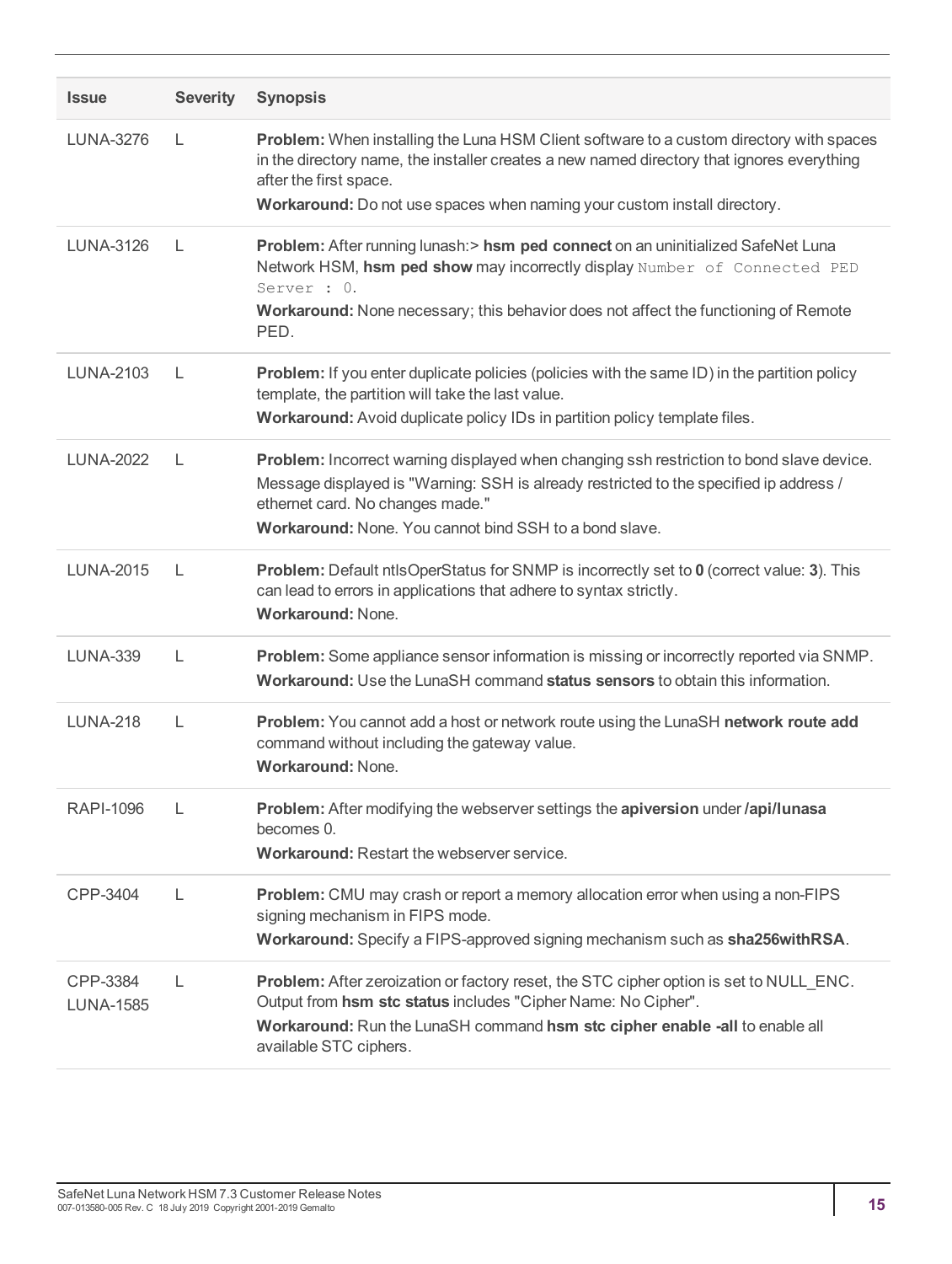| <b>Issue</b>                 | <b>Severity</b> | <b>Synopsis</b>                                                                                                                                                                                                                                                                             |
|------------------------------|-----------------|---------------------------------------------------------------------------------------------------------------------------------------------------------------------------------------------------------------------------------------------------------------------------------------------|
| LUNA-3276                    | $\mathbf{L}$    | Problem: When installing the Luna HSM Client software to a custom directory with spaces<br>in the directory name, the installer creates a new named directory that ignores everything<br>after the first space.<br>Workaround: Do not use spaces when naming your custom install directory. |
| <b>LUNA-3126</b>             | L               | Problem: After running lunash: > hsm ped connect on an uninitialized SafeNet Luna<br>Network HSM, hsm ped show may incorrectly display Number of Connected PED<br>Server : 0.<br>Workaround: None necessary; this behavior does not affect the functioning of Remote<br>PED.                |
| LUNA-2103                    | L               | <b>Problem:</b> If you enter duplicate policies (policies with the same ID) in the partition policy<br>template, the partition will take the last value.<br>Workaround: Avoid duplicate policy IDs in partition policy template files.                                                      |
| <b>LUNA-2022</b>             | L               | Problem: Incorrect warning displayed when changing ssh restriction to bond slave device.<br>Message displayed is "Warning: SSH is already restricted to the specified ip address /<br>ethernet card. No changes made."<br><b>Workaround:</b> None. You cannot bind SSH to a bond slave.     |
| <b>LUNA-2015</b>             | L               | <b>Problem:</b> Default ntlsOperStatus for SNMP is incorrectly set to 0 (correct value: 3). This<br>can lead to errors in applications that adhere to syntax strictly.<br><b>Workaround: None.</b>                                                                                          |
| <b>LUNA-339</b>              | L               | Problem: Some appliance sensor information is missing or incorrectly reported via SNMP.<br><b>Workaround:</b> Use the LunaSH command <b>status sensors</b> to obtain this information.                                                                                                      |
| <b>LUNA-218</b>              | L               | Problem: You cannot add a host or network route using the LunaSH network route add<br>command without including the gateway value.<br><b>Workaround: None.</b>                                                                                                                              |
| <b>RAPI-1096</b>             | L               | Problem: After modifying the webserver settings the apiversion under /api/lunasa<br>becomes 0.<br><b>Workaround: Restart the webserver service.</b>                                                                                                                                         |
| CPP-3404                     | L               | <b>Problem:</b> CMU may crash or report a memory allocation error when using a non-FIPS<br>signing mechanism in FIPS mode.<br>Workaround: Specify a FIPS-approved signing mechanism such as sha256withRSA.                                                                                  |
| CPP-3384<br><b>LUNA-1585</b> | L               | Problem: After zeroization or factory reset, the STC cipher option is set to NULL_ENC.<br>Output from hsm stc status includes "Cipher Name: No Cipher".<br>Workaround: Run the LunaSH command hsm stc cipher enable -all to enable all<br>available STC ciphers.                            |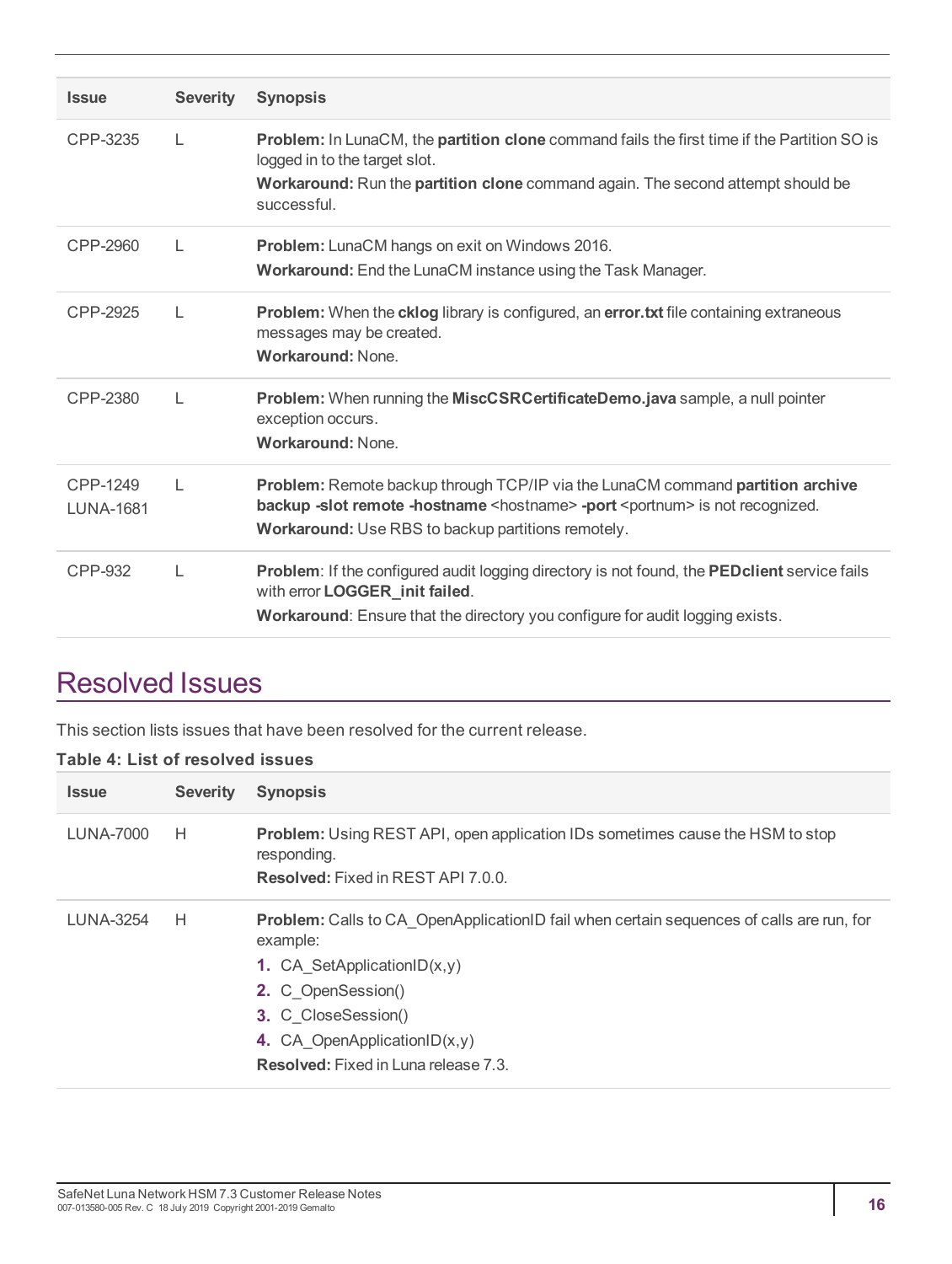| <b>Issue</b>                 | <b>Severity</b> | <b>Synopsis</b>                                                                                                                                                                                                                              |
|------------------------------|-----------------|----------------------------------------------------------------------------------------------------------------------------------------------------------------------------------------------------------------------------------------------|
| CPP-3235                     | $\mathbf{L}$    | <b>Problem:</b> In LunaCM, the <b>partition clone</b> command fails the first time if the Partition SO is<br>logged in to the target slot.<br>Workaround: Run the partition clone command again. The second attempt should be<br>successful. |
| CPP-2960                     | $\mathbf{L}$    | Problem: LunaCM hangs on exit on Windows 2016.<br>Workaround: End the LunaCM instance using the Task Manager.                                                                                                                                |
| CPP-2925                     | L               | <b>Problem:</b> When the <b>cklog</b> library is configured, an <b>error.txt</b> file containing extraneous<br>messages may be created.<br>Workaround: None.                                                                                 |
| CPP-2380                     | L               | Problem: When running the MiscCSRCertificateDemo.java sample, a null pointer<br>exception occurs.<br><b>Workaround: None.</b>                                                                                                                |
| CPP-1249<br><b>LUNA-1681</b> | $\mathsf{L}$    | Problem: Remote backup through TCP/IP via the LunaCM command partition archive<br>backup -slot remote -hostname <hostname> -port <portnum> is not recognized.<br/>Workaround: Use RBS to backup partitions remotely.</portnum></hostname>    |
| CPP-932                      | L               | Problem: If the configured audit logging directory is not found, the PEDclient service fails<br>with error LOGGER_init failed.<br>Workaround: Ensure that the directory you configure for audit logging exists.                              |

# <span id="page-15-0"></span>Resolved Issues

This section lists issues that have been resolved for the current release.

#### **Table 4: List of resolved issues**

| <b>Issue</b> | <b>Severity</b> | <b>Synopsis</b>                                                                                                                                                                                                                                                                            |
|--------------|-----------------|--------------------------------------------------------------------------------------------------------------------------------------------------------------------------------------------------------------------------------------------------------------------------------------------|
| LUNA-7000    | H               | Problem: Using REST API, open application IDs sometimes cause the HSM to stop<br>responding.<br><b>Resolved:</b> Fixed in REST API 7.0.0.                                                                                                                                                  |
| LUNA-3254    | H               | <b>Problem:</b> Calls to CA OpenApplicationID fail when certain sequences of calls are run, for<br>example:<br><b>1.</b> CA SetApplicationID $(x,y)$<br>2. C OpenSession()<br><b>3.</b> C CloseSession()<br>4. CA OpenApplicationID $(x,y)$<br><b>Resolved:</b> Fixed in Luna release 7.3. |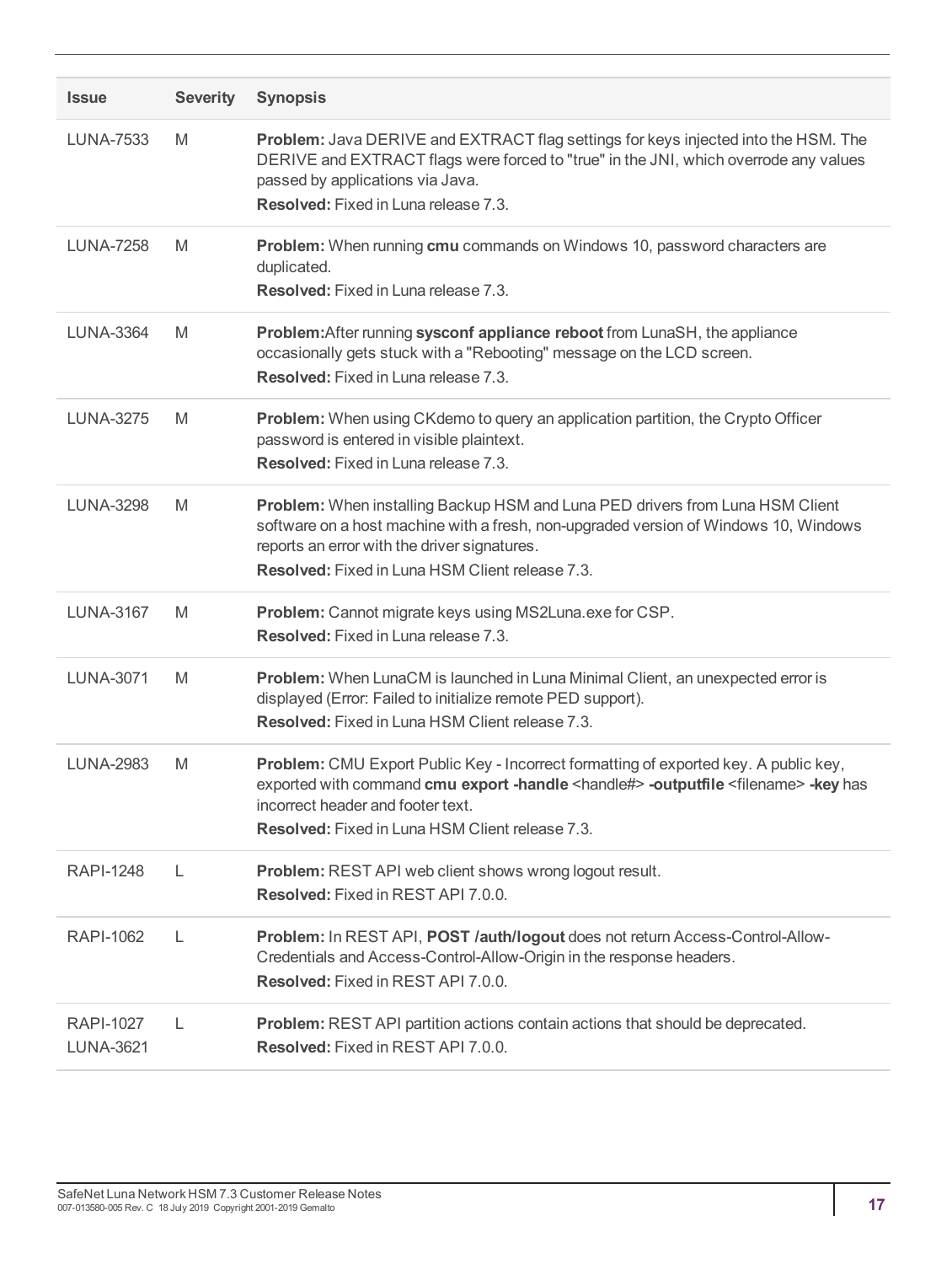| <b>Issue</b>                         | <b>Severity</b> | <b>Synopsis</b>                                                                                                                                                                                                                                                                                  |
|--------------------------------------|-----------------|--------------------------------------------------------------------------------------------------------------------------------------------------------------------------------------------------------------------------------------------------------------------------------------------------|
| <b>LUNA-7533</b>                     | M               | Problem: Java DERIVE and EXTRACT flag settings for keys injected into the HSM. The<br>DERIVE and EXTRACT flags were forced to "true" in the JNI, which overrode any values<br>passed by applications via Java.<br>Resolved: Fixed in Luna release 7.3.                                           |
| <b>LUNA-7258</b>                     | M               | Problem: When running cmu commands on Windows 10, password characters are<br>duplicated.<br>Resolved: Fixed in Luna release 7.3.                                                                                                                                                                 |
| <b>LUNA-3364</b>                     | M               | Problem: After running sysconf appliance reboot from LunaSH, the appliance<br>occasionally gets stuck with a "Rebooting" message on the LCD screen.<br>Resolved: Fixed in Luna release 7.3.                                                                                                      |
| <b>LUNA-3275</b>                     | M               | Problem: When using CKdemo to query an application partition, the Crypto Officer<br>password is entered in visible plaintext.<br>Resolved: Fixed in Luna release 7.3.                                                                                                                            |
| <b>LUNA-3298</b>                     | M               | Problem: When installing Backup HSM and Luna PED drivers from Luna HSM Client<br>software on a host machine with a fresh, non-upgraded version of Windows 10, Windows<br>reports an error with the driver signatures.<br><b>Resolved:</b> Fixed in Luna HSM Client release 7.3.                  |
| <b>LUNA-3167</b>                     | M               | Problem: Cannot migrate keys using MS2Luna.exe for CSP.<br>Resolved: Fixed in Luna release 7.3.                                                                                                                                                                                                  |
| <b>LUNA-3071</b>                     | M               | Problem: When LunaCM is launched in Luna Minimal Client, an unexpected error is<br>displayed (Error: Failed to initialize remote PED support).<br><b>Resolved:</b> Fixed in Luna HSM Client release 7.3.                                                                                         |
| <b>LUNA-2983</b>                     | M               | Problem: CMU Export Public Key - Incorrect formatting of exported key. A public key,<br>exported with command cmu export -handle <handle#> -outputfile <filename> -key has<br/>incorrect header and footer text.<br/><b>Resolved:</b> Fixed in Luna HSM Client release 7.3.</filename></handle#> |
| <b>RAPI-1248</b>                     | L               | Problem: REST API web client shows wrong logout result.<br>Resolved: Fixed in REST API 7.0.0.                                                                                                                                                                                                    |
| <b>RAPI-1062</b>                     | L               | Problem: In REST API, POST /auth/logout does not return Access-Control-Allow-<br>Credentials and Access-Control-Allow-Origin in the response headers.<br>Resolved: Fixed in REST API 7.0.0.                                                                                                      |
| <b>RAPI-1027</b><br><b>LUNA-3621</b> | L               | Problem: REST API partition actions contain actions that should be deprecated.<br>Resolved: Fixed in REST API 7.0.0.                                                                                                                                                                             |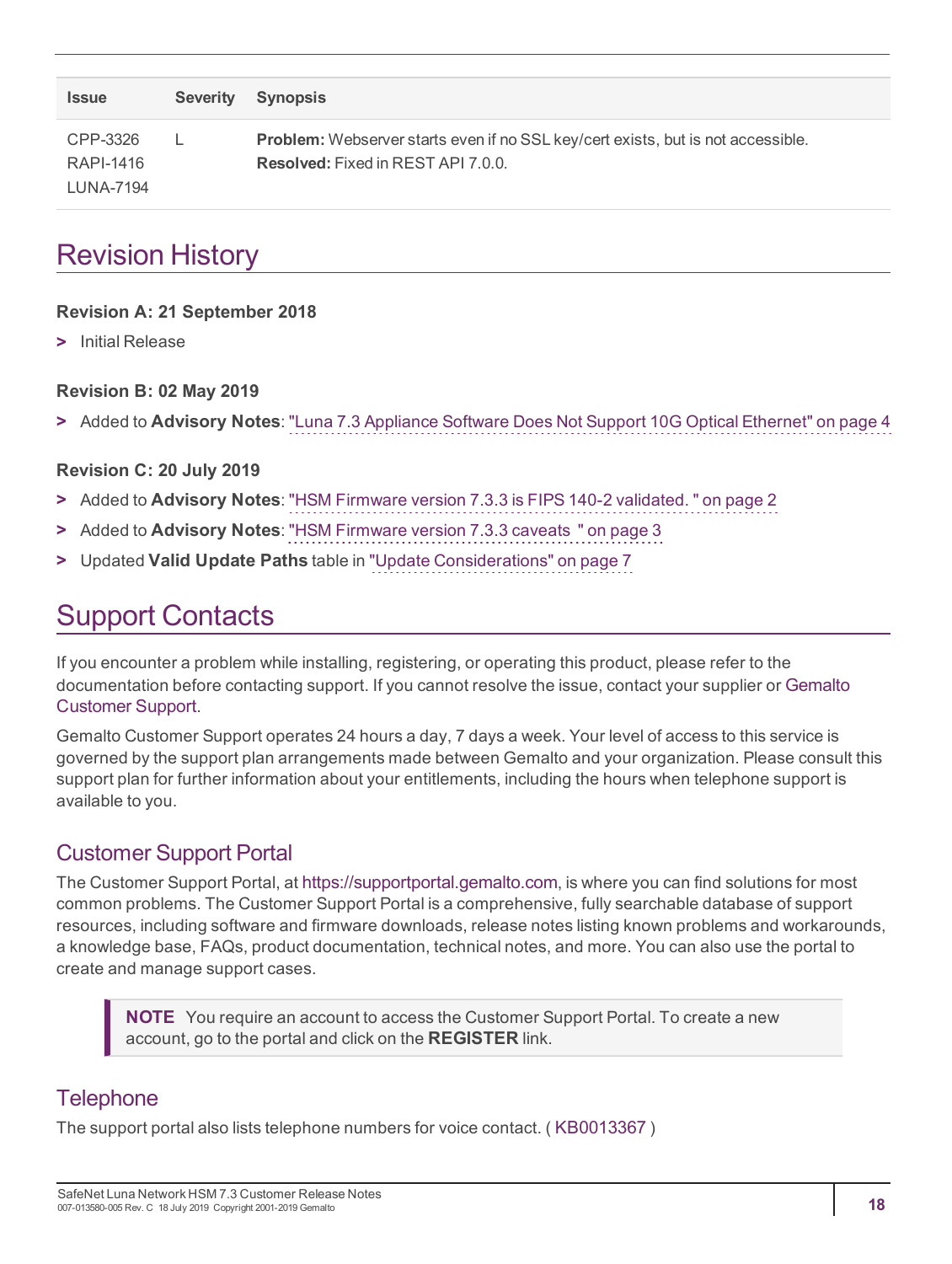| <b>Issue</b>          | Severity Synopsis                                                                                                                    |
|-----------------------|--------------------------------------------------------------------------------------------------------------------------------------|
| CPP-3326<br>RAPI-1416 | <b>Problem:</b> Webserver starts even if no SSL key/cert exists, but is not accessible.<br><b>Resolved:</b> Fixed in REST API 7.0.0. |
| LUNA-7194             |                                                                                                                                      |

# <span id="page-17-0"></span>Revision History

#### **Revision A: 21 September 2018**

**>** Initial Release

#### **Revision B: 02 May 2019**

**>** Added to **Advisory Notes**: "Luna 7.3 Appliance Software Does Not Support 10G Optical [Ethernet" on](#page-3-0) page 4

#### **Revision C: 20 July 2019**

- **>** Added to **Advisory Notes**: "HSM Firmware version 7.3.3 is FIPS 140-2 [validated.](#page-1-3) " on page 2
- **>** Added to **Advisory Notes**: "HSM [Firmware](#page-2-4) version 7.3.3 caveats " on page 3
- <span id="page-17-1"></span>**>** Updated **Valid Update Paths** table in "Update [Considerations" on](#page-6-1) page 7

# Support Contacts

If you encounter a problem while installing, registering, or operating this product, please refer to the documentation before contacting support. If you cannot resolve the issue, contact your supplier or [Gemalto](https://supportportal.gemalto.com/csm) [Customer](https://supportportal.gemalto.com/csm) Support.

Gemalto Customer Support operates 24 hours a day, 7 days a week. Your level of access to this service is governed by the support plan arrangements made between Gemalto and your organization. Please consult this support plan for further information about your entitlements, including the hours when telephone support is available to you.

### Customer Support Portal

The Customer Support Portal, at [https://supportportal.gemalto.com](https://supportportal.gemalto.com/), is where you can find solutions for most common problems. The Customer Support Portal is a comprehensive, fully searchable database of support resources, including software and firmware downloads, release notes listing known problems and workarounds, a knowledge base, FAQs, product documentation, technical notes, and more. You can also use the portal to create and manage support cases.

**NOTE** You require an account to access the Customer Support Portal. To create a new account, go to the portal and click on the **REGISTER** link.

### **Telephone**

The support portal also lists telephone numbers for voice contact. ( [KB0013367](https://supportportal.gemalto.com/csm?id=kb_article_view&sys_kb_id=42fb71b4db1be200fe0aff3dbf96199f&sysparm_article=KB0013367) )